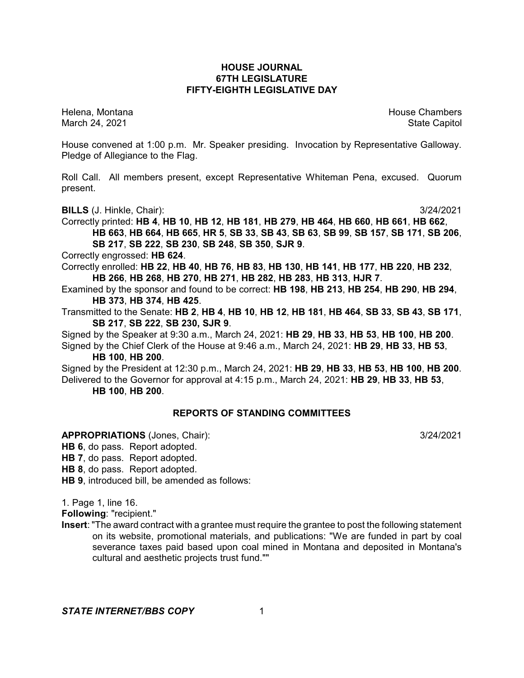## **HOUSE JOURNAL 67TH LEGISLATURE FIFTY-EIGHTH LEGISLATIVE DAY**

Helena, Montana House Chambers Chambers Chambers and House Chambers Chambers Chambers Chambers and House Chambers and House Chambers and House Chambers and House Chambers and House Chambers and House Chambers and House Cha March 24, 2021 **State Capitol** 

House convened at 1:00 p.m. Mr. Speaker presiding. Invocation by Representative Galloway. Pledge of Allegiance to the Flag.

Roll Call. All members present, except Representative Whiteman Pena, excused. Quorum present.

**BILLS** (J. Hinkle, Chair): 3/24/2021

Correctly printed: **HB 4**, **HB 10**, **HB 12**, **HB 181**, **HB 279**, **HB 464**, **HB 660**, **HB 661**, **HB 662**, HB 663, HB 664, HB 665, HR 5, SB 33, SB 43, SB 63, SB 99, SB 157, SB 171, SB 206, **SB 217**, **SB 222**, **SB 230**, **SB 248**, **SB 350**, **SJR 9**.

Correctly engrossed: **HB 624**.

Correctly enrolled: **HB 22**, **HB 40**, **HB 76**, **HB 83**, **HB 130**, **HB 141**, **HB 177**, **HB 220**, **HB 232**, **HB 266**, **HB 268**, **HB 270**, **HB 271**, **HB 282**, **HB 283**, **HB 313**, **HJR 7**.

Examined by the sponsor and found to be correct: **HB 198**, **HB 213**, **HB 254**, **HB 290**, **HB 294**, **HB 373**, **HB 374**, **HB 425**.

Transmitted to the Senate: **HB 2**, **HB 4**, **HB 10**, **HB 12**, **HB 181**, **HB 464**, **SB 33**, **SB 43**, **SB 171**, **SB 217**, **SB 222**, **SB 230, SJR 9**.

Signed by the Speaker at 9:30 a.m., March 24, 2021: **HB 29**, **HB 33**, **HB 53**, **HB 100**, **HB 200**. Signed by the Chief Clerk of the House at 9:46 a.m., March 24, 2021: **HB 29**, **HB 33**, **HB 53**,

**HB 100**, **HB 200**.

Signed by the President at 12:30 p.m., March 24, 2021: **HB 29**, **HB 33**, **HB 53**, **HB 100**, **HB 200**. Delivered to the Governor for approval at 4:15 p.m., March 24, 2021: **HB 29**, **HB 33**, **HB 53**, **HB 100**, **HB 200**.

## **REPORTS OF STANDING COMMITTEES**

**APPROPRIATIONS** (Jones, Chair): 3/24/2021

**HB 6**, do pass. Report adopted.

**HB 7**, do pass. Report adopted.

**HB 8**, do pass. Report adopted.

**HB 9**, introduced bill, be amended as follows:

1. Page 1, line 16.

**Following**: "recipient."

**Insert**: "The award contract with a grantee must require the grantee to post the following statement on its website, promotional materials, and publications: "We are funded in part by coal severance taxes paid based upon coal mined in Montana and deposited in Montana's cultural and aesthetic projects trust fund.""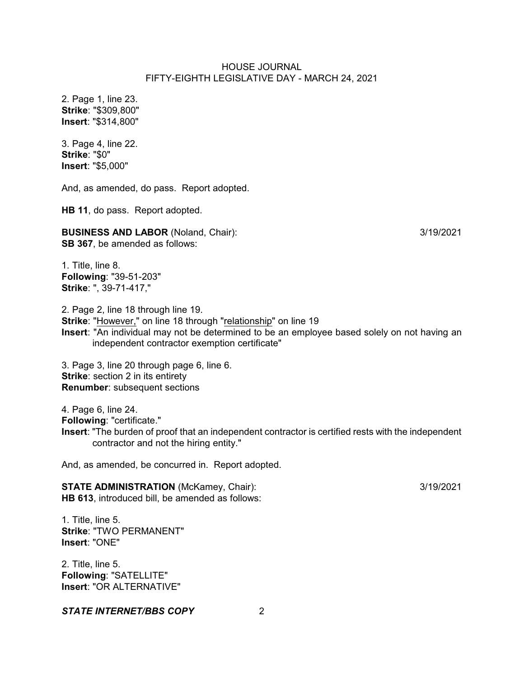2. Page 1, line 23. **Strike**: "\$309,800" **Insert**: "\$314,800"

3. Page 4, line 22. **Strike**: "\$0" **Insert**: "\$5,000"

And, as amended, do pass. Report adopted.

**HB 11**, do pass. Report adopted.

**BUSINESS AND LABOR** (Noland, Chair):  $\frac{3}{19/2021}$ **SB 367**, be amended as follows:

1. Title, line 8. **Following**: "39-51-203" **Strike**: ", 39-71-417,"

2. Page 2, line 18 through line 19. **Strike**: "However," on line 18 through "relationship" on line 19 **Insert**: "An individual may not be determined to be an employee based solely on not having an independent contractor exemption certificate"

3. Page 3, line 20 through page 6, line 6. **Strike:** section 2 in its entirety **Renumber**: subsequent sections

4. Page 6, line 24.

**Following**: "certificate."

**Insert**: "The burden of proof that an independent contractor is certified rests with the independent contractor and not the hiring entity."

And, as amended, be concurred in. Report adopted.

**STATE ADMINISTRATION** (McKamey, Chair): 3/19/2021 **HB 613**, introduced bill, be amended as follows:

1. Title, line 5. **Strike**: "TWO PERMANENT" **Insert**: "ONE"

2. Title, line 5. **Following**: "SATELLITE" **Insert**: "OR ALTERNATIVE"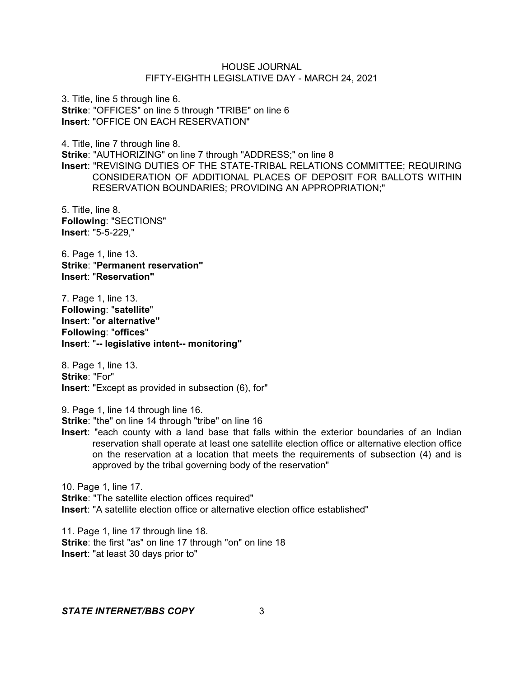3. Title, line 5 through line 6. **Strike**: "OFFICES" on line 5 through "TRIBE" on line 6 **Insert**: "OFFICE ON EACH RESERVATION"

4. Title, line 7 through line 8.

**Strike**: "AUTHORIZING" on line 7 through "ADDRESS;" on line 8 **Insert**: "REVISING DUTIES OF THE STATE-TRIBAL RELATIONS COMMITTEE; REQUIRING CONSIDERATION OF ADDITIONAL PLACES OF DEPOSIT FOR BALLOTS WITHIN RESERVATION BOUNDARIES; PROVIDING AN APPROPRIATION;"

5. Title, line 8. **Following**: "SECTIONS" **Insert**: "5-5-229,"

6. Page 1, line 13. **Strike**: "**Permanent reservation" Insert**: "**Reservation"**

7. Page 1, line 13. **Following**: "**satellite**" **Insert**: "**or alternative" Following**: "**offices**" **Insert**: "**-- legislative intent-- monitoring"**

8. Page 1, line 13. **Strike**: "For" **Insert**: "Except as provided in subsection (6), for"

9. Page 1, line 14 through line 16.

**Strike**: "the" on line 14 through "tribe" on line 16

**Insert**: "each county with a land base that falls within the exterior boundaries of an Indian reservation shall operate at least one satellite election office or alternative election office on the reservation at a location that meets the requirements of subsection (4) and is approved by the tribal governing body of the reservation"

10. Page 1, line 17. **Strike**: "The satellite election offices required" **Insert**: "A satellite election office or alternative election office established"

11. Page 1, line 17 through line 18. **Strike**: the first "as" on line 17 through "on" on line 18 **Insert**: "at least 30 days prior to"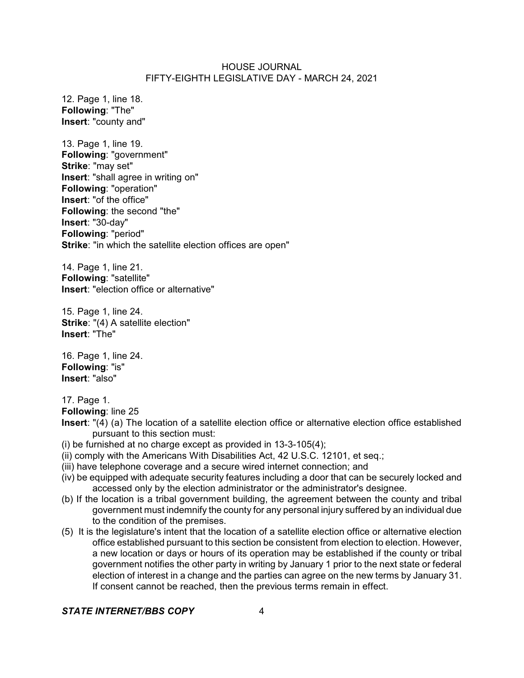12. Page 1, line 18. **Following**: "The" **Insert**: "county and"

13. Page 1, line 19. **Following**: "government" **Strike**: "may set" **Insert**: "shall agree in writing on" **Following**: "operation" **Insert**: "of the office" **Following**: the second "the" **Insert**: "30-day" **Following**: "period" **Strike**: "in which the satellite election offices are open"

14. Page 1, line 21. **Following**: "satellite" **Insert**: "election office or alternative"

15. Page 1, line 24. **Strike**: "(4) A satellite election" **Insert**: "The"

16. Page 1, line 24. **Following**: "is" **Insert**: "also"

17. Page 1.

**Following**: line 25

- **Insert**: "(4) (a) The location of a satellite election office or alternative election office established pursuant to this section must:
- (i) be furnished at no charge except as provided in 13-3-105(4);
- (ii) comply with the Americans With Disabilities Act, 42 U.S.C. 12101, et seq.;
- (iii) have telephone coverage and a secure wired internet connection; and
- (iv) be equipped with adequate security features including a door that can be securely locked and accessed only by the election administrator or the administrator's designee.
- (b) If the location is a tribal government building, the agreement between the county and tribal government must indemnify the county for any personal injury suffered by an individual due to the condition of the premises.
- (5) It is the legislature's intent that the location of a satellite election office or alternative election office established pursuant to this section be consistent from election to election. However, a new location or days or hours of its operation may be established if the county or tribal government notifies the other party in writing by January 1 prior to the next state or federal election of interest in a change and the parties can agree on the new terms by January 31. If consent cannot be reached, then the previous terms remain in effect.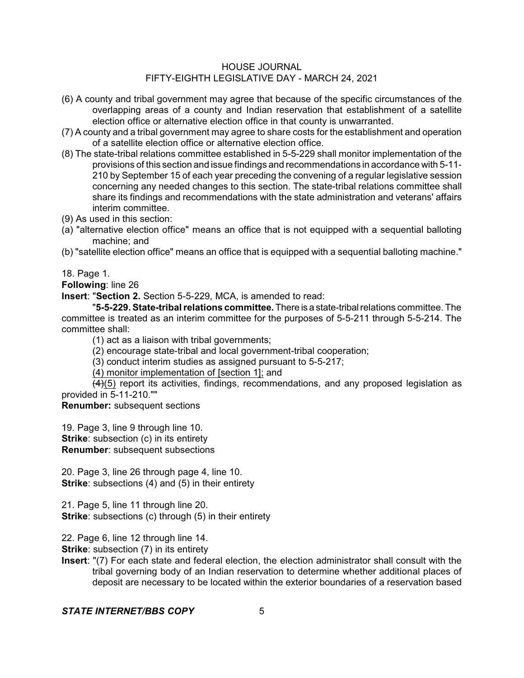- (6) A county and tribal government may agree that because of the specific circumstances of the overlapping areas of a county and Indian reservation that establishment of a satellite election office or alternative election office in that county is unwarranted.
- (7) A county and a tribal government may agree to share costs for the establishment and operation of a satellite election office or alternative election office.
- (8) The state-tribal relations committee established in 5-5-229 shall monitor implementation of the provisions of this section and issue findings and recommendations in accordance with 5-11- 210 by September 15 of each year preceding the convening of a regular legislative session concerning any needed changes to this section. The state-tribal relations committee shall share its findings and recommendations with the state administration and veterans' affairs interim committee.
- (9) As used in this section:
- (a) "alternative election office" means an office that is not equipped with a sequential balloting machine; and
- (b) "satellite election office" means an office that is equipped with a sequential balloting machine."

18. Page 1.

**Following**: line 26

**Insert**: "**Section 2.** Section 5-5-229, MCA, is amended to read:

"**5-5-229. State-tribalrelations committee.**There is a state-tribalrelations committee. The committee is treated as an interim committee for the purposes of 5-5-211 through 5-5-214. The committee shall:

(1) act as a liaison with tribal governments;

(2) encourage state-tribal and local government-tribal cooperation;

(3) conduct interim studies as assigned pursuant to 5-5-217;

(4) monitor implementation of [section 1]; and

 $(4)(5)$  report its activities, findings, recommendations, and any proposed legislation as provided in 5-11-210.""

**Renumber:** subsequent sections

19. Page 3, line 9 through line 10.

**Strike:** subsection (c) in its entirety

**Renumber:** subsequent subsections

20. Page 3, line 26 through page 4, line 10. **Strike**: subsections (4) and (5) in their entirety

21. Page 5, line 11 through line 20. **Strike:** subsections (c) through (5) in their entirety

22. Page 6, line 12 through line 14.

**Strike:** subsection (7) in its entirety

**Insert**: "(7) For each state and federal election, the election administrator shall consult with the tribal governing body of an Indian reservation to determine whether additional places of deposit are necessary to be located within the exterior boundaries of a reservation based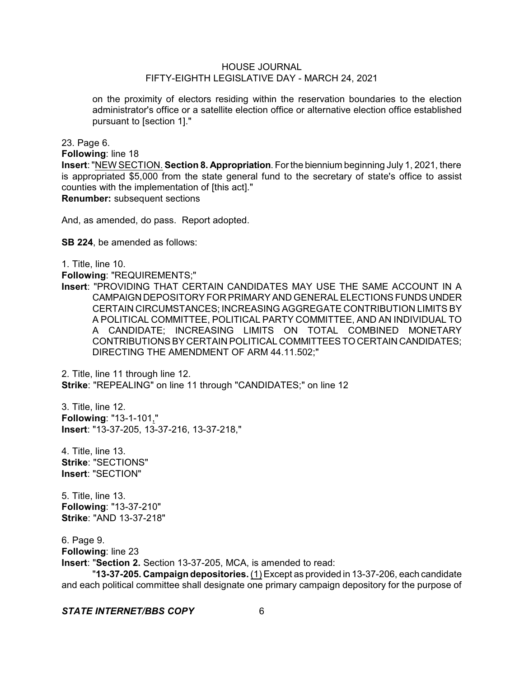on the proximity of electors residing within the reservation boundaries to the election administrator's office or a satellite election office or alternative election office established pursuant to [section 1]."

23. Page 6.

**Following**: line 18

**Insert**: "NEW SECTION. **Section 8. Appropriation**. For the biennium beginning July 1, 2021, there is appropriated \$5,000 from the state general fund to the secretary of state's office to assist counties with the implementation of [this act]."

**Renumber:** subsequent sections

And, as amended, do pass. Report adopted.

**SB 224**, be amended as follows:

1. Title, line 10.

**Following**: "REQUIREMENTS;"

**Insert**: "PROVIDING THAT CERTAIN CANDIDATES MAY USE THE SAME ACCOUNT IN A CAMPAIGN DEPOSITORY FOR PRIMARY AND GENERAL ELECTIONS FUNDS UNDER CERTAIN CIRCUMSTANCES; INCREASING AGGREGATE CONTRIBUTION LIMITS BY A POLITICAL COMMITTEE, POLITICAL PARTY COMMITTEE, AND AN INDIVIDUAL TO A CANDIDATE; INCREASING LIMITS ON TOTAL COMBINED MONETARY CONTRIBUTIONS BY CERTAIN POLITICAL COMMITTEESTO CERTAIN CANDIDATES; DIRECTING THE AMENDMENT OF ARM 44.11.502;"

2. Title, line 11 through line 12. **Strike**: "REPEALING" on line 11 through "CANDIDATES;" on line 12

3. Title, line 12. **Following**: "13-1-101," **Insert**: "13-37-205, 13-37-216, 13-37-218,"

4. Title, line 13. **Strike**: "SECTIONS" **Insert**: "SECTION"

5. Title, line 13. **Following**: "13-37-210" **Strike**: "AND 13-37-218"

6. Page 9. **Following**: line 23 **Insert**: "**Section 2.** Section 13-37-205, MCA, is amended to read:

"**13-37-205. Campaign depositories.** (1) Except as provided in 13-37-206, each candidate and each political committee shall designate one primary campaign depository for the purpose of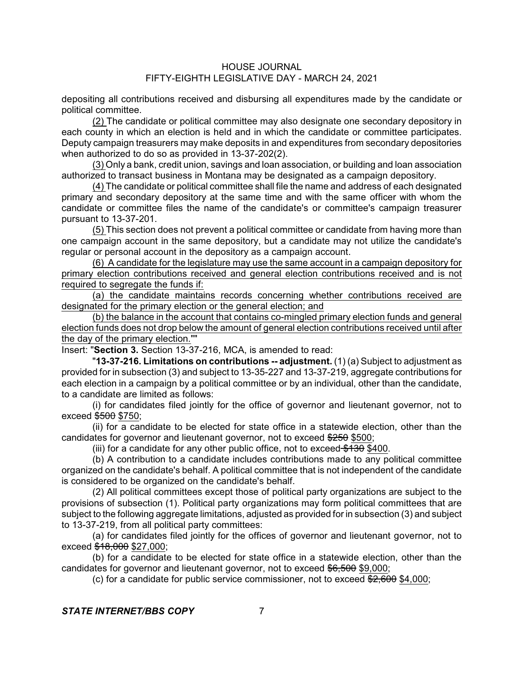depositing all contributions received and disbursing all expenditures made by the candidate or political committee.

(2) The candidate or political committee may also designate one secondary depository in each county in which an election is held and in which the candidate or committee participates. Deputy campaign treasurers may make deposits in and expenditures from secondary depositories when authorized to do so as provided in 13-37-202(2).

(3) Only a bank, credit union, savings and loan association, or building and loan association authorized to transact business in Montana may be designated as a campaign depository.

(4) The candidate or political committee shall file the name and address of each designated primary and secondary depository at the same time and with the same officer with whom the candidate or committee files the name of the candidate's or committee's campaign treasurer pursuant to 13-37-201.

(5) This section does not prevent a political committee or candidate from having more than one campaign account in the same depository, but a candidate may not utilize the candidate's regular or personal account in the depository as a campaign account.

(6) A candidate for the legislature may use the same account in a campaign depository for primary election contributions received and general election contributions received and is not required to segregate the funds if:

(a) the candidate maintains records concerning whether contributions received are designated for the primary election or the general election; and

(b) the balance in the account that contains co-mingled primary election funds and general election funds does not drop below the amount of general election contributions received until after the day of the primary election.""

Insert: "**Section 3.** Section 13-37-216, MCA, is amended to read:

"**13-37-216. Limitations on contributions -- adjustment.** (1) (a) Subject to adjustment as provided for in subsection (3) and subject to 13-35-227 and 13-37-219, aggregate contributions for each election in a campaign by a political committee or by an individual, other than the candidate, to a candidate are limited as follows:

(i) for candidates filed jointly for the office of governor and lieutenant governor, not to exceed  $$500$  \$750;

(ii) for a candidate to be elected for state office in a statewide election, other than the candidates for governor and lieutenant governor, not to exceed \$250 \$500;

(iii) for a candidate for any other public office, not to exceed  $$130$  \$400.

(b) A contribution to a candidate includes contributions made to any political committee organized on the candidate's behalf. A political committee that is not independent of the candidate is considered to be organized on the candidate's behalf.

(2) All political committees except those of political party organizations are subject to the provisions of subsection (1). Political party organizations may form political committees that are subject to the following aggregate limitations, adjusted as provided for in subsection (3) and subject to 13-37-219, from all political party committees:

(a) for candidates filed jointly for the offices of governor and lieutenant governor, not to exceed  $\frac{618,000}{1000}$  \$27,000;

(b) for a candidate to be elected for state office in a statewide election, other than the candidates for governor and lieutenant governor, not to exceed \$6,500 \$9,000;

(c) for a candidate for public service commissioner, not to exceed  $2,600$  \$4,000;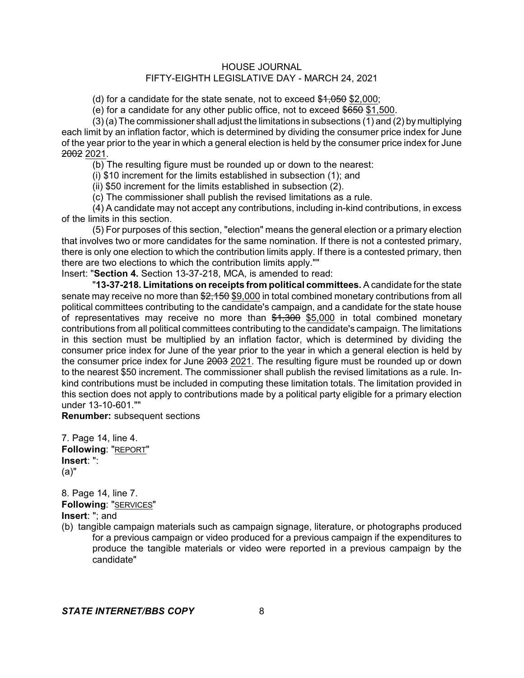(d) for a candidate for the state senate, not to exceed  $$1,050$  \$2,000;

(e) for a candidate for any other public office, not to exceed  $$650$  \$1,500.

(3)(a) The commissioner shall adjust the limitations in subsections (1) and (2) by multiplying each limit by an inflation factor, which is determined by dividing the consumer price index for June of the year prior to the year in which a general election is held by the consumer price index for June 2002 2021.

(b) The resulting figure must be rounded up or down to the nearest:

(i) \$10 increment for the limits established in subsection (1); and

(ii) \$50 increment for the limits established in subsection (2).

(c) The commissioner shall publish the revised limitations as a rule.

(4) A candidate may not accept any contributions, including in-kind contributions, in excess of the limits in this section.

(5) For purposes of this section, "election" means the general election or a primary election that involves two or more candidates for the same nomination. If there is not a contested primary, there is only one election to which the contribution limits apply. If there is a contested primary, then there are two elections to which the contribution limits apply.""

Insert: "**Section 4.** Section 13-37-218, MCA, is amended to read:

"**13-37-218. Limitations on receipts from political committees.** A candidate for the state senate may receive no more than \$2,150 \$9,000 in total combined monetary contributions from all political committees contributing to the candidate's campaign, and a candidate for the state house of representatives may receive no more than  $$1,300$  \$5,000 in total combined monetary contributions from all political committees contributing to the candidate's campaign. The limitations in this section must be multiplied by an inflation factor, which is determined by dividing the consumer price index for June of the year prior to the year in which a general election is held by the consumer price index for June 2003 2021. The resulting figure must be rounded up or down to the nearest \$50 increment. The commissioner shall publish the revised limitations as a rule. Inkind contributions must be included in computing these limitation totals. The limitation provided in this section does not apply to contributions made by a political party eligible for a primary election under 13-10-601.""

**Renumber:** subsequent sections

7. Page 14, line 4. **Following**: "REPORT" **Insert**: ": (a)"

8. Page 14, line 7. **Following**: "SERVICES" **Insert**: "; and

(b) tangible campaign materials such as campaign signage, literature, or photographs produced for a previous campaign or video produced for a previous campaign if the expenditures to produce the tangible materials or video were reported in a previous campaign by the candidate"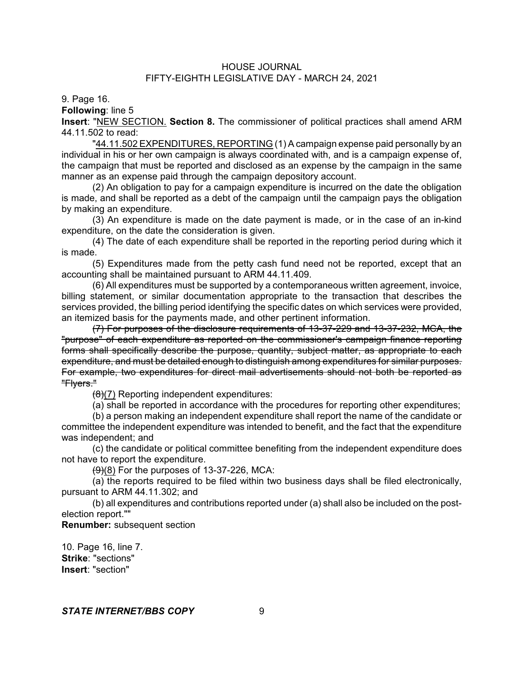9. Page 16.

**Following**: line 5

**Insert**: "NEW SECTION. **Section 8.** The commissioner of political practices shall amend ARM 44.11.502 to read:

"44.11.502 EXPENDITURES, REPORTING (1) A campaign expense paid personally by an individual in his or her own campaign is always coordinated with, and is a campaign expense of, the campaign that must be reported and disclosed as an expense by the campaign in the same manner as an expense paid through the campaign depository account.

(2) An obligation to pay for a campaign expenditure is incurred on the date the obligation is made, and shall be reported as a debt of the campaign until the campaign pays the obligation by making an expenditure.

(3) An expenditure is made on the date payment is made, or in the case of an in-kind expenditure, on the date the consideration is given.

(4) The date of each expenditure shall be reported in the reporting period during which it is made.

(5) Expenditures made from the petty cash fund need not be reported, except that an accounting shall be maintained pursuant to ARM 44.11.409.

(6) All expenditures must be supported by a contemporaneous written agreement, invoice, billing statement, or similar documentation appropriate to the transaction that describes the services provided, the billing period identifying the specific dates on which services were provided, an itemized basis for the payments made, and other pertinent information.

(7) For purposes of the disclosure requirements of 13-37-229 and 13-37-232, MCA, the "purpose" of each expenditure as reported on the commissioner's campaign finance reporting forms shall specifically describe the purpose, quantity, subject matter, as appropriate to each expenditure, and must be detailed enough to distinguish among expenditures for similar purposes. For example, two expenditures for direct mail advertisements should not both be reported as "Flyers."

 $(8)(7)$  Reporting independent expenditures:

(a) shall be reported in accordance with the procedures for reporting other expenditures;

(b) a person making an independent expenditure shall report the name of the candidate or committee the independent expenditure was intended to benefit, and the fact that the expenditure was independent; and

(c) the candidate or political committee benefiting from the independent expenditure does not have to report the expenditure.

 $(9)(8)$  For the purposes of 13-37-226, MCA:

(a) the reports required to be filed within two business days shall be filed electronically, pursuant to ARM 44.11.302; and

(b) all expenditures and contributions reported under (a) shall also be included on the postelection report.""

**Renumber:** subsequent section

10. Page 16, line 7. **Strike**: "sections" **Insert**: "section"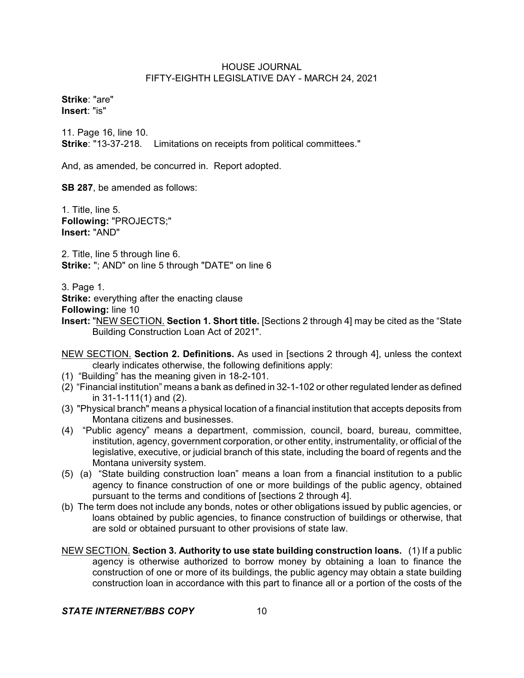**Strike**: "are" **Insert**: "is"

11. Page 16, line 10. **Strike**: "13-37-218. Limitations on receipts from political committees."

And, as amended, be concurred in. Report adopted.

**SB 287**, be amended as follows:

1. Title, line 5. **Following:** "PROJECTS;" **Insert:** "AND"

2. Title, line 5 through line 6. **Strike:** "; AND" on line 5 through "DATE" on line 6

3. Page 1.

**Strike:** everything after the enacting clause

**Following:** line 10

- **Insert:** "NEW SECTION. **Section 1. Short title.** [Sections 2 through 4] may be cited as the "State Building Construction Loan Act of 2021".
- NEW SECTION. **Section 2. Definitions.** As used in [sections 2 through 4], unless the context clearly indicates otherwise, the following definitions apply:
- (1) "Building" has the meaning given in 18-2-101.
- (2) "Financial institution" means a bank as defined in 32-1-102 or other regulated lender as defined in 31-1-111(1) and (2).
- (3) "Physical branch" means a physical location of a financial institution that accepts deposits from Montana citizens and businesses.
- (4) "Public agency" means a department, commission, council, board, bureau, committee, institution, agency, government corporation, or other entity, instrumentality, or official of the legislative, executive, or judicial branch of this state, including the board of regents and the Montana university system.
- (5) (a) "State building construction loan" means a loan from a financial institution to a public agency to finance construction of one or more buildings of the public agency, obtained pursuant to the terms and conditions of [sections 2 through 4].
- (b) The term does not include any bonds, notes or other obligations issued by public agencies, or loans obtained by public agencies, to finance construction of buildings or otherwise, that are sold or obtained pursuant to other provisions of state law.
- NEW SECTION. **Section 3. Authority to use state building construction loans.** (1) If a public agency is otherwise authorized to borrow money by obtaining a loan to finance the construction of one or more of its buildings, the public agency may obtain a state building construction loan in accordance with this part to finance all or a portion of the costs of the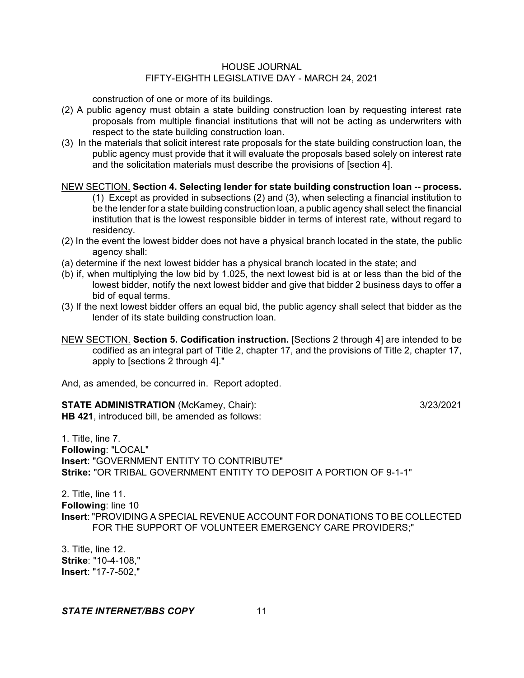construction of one or more of its buildings.

- (2) A public agency must obtain a state building construction loan by requesting interest rate proposals from multiple financial institutions that will not be acting as underwriters with respect to the state building construction loan.
- (3) In the materials that solicit interest rate proposals for the state building construction loan, the public agency must provide that it will evaluate the proposals based solely on interest rate and the solicitation materials must describe the provisions of [section 4].

#### NEW SECTION. **Section 4. Selecting lender for state building construction loan -- process.**

(1) Except as provided in subsections (2) and (3), when selecting a financial institution to be the lender for a state building construction loan, a public agency shall select the financial institution that is the lowest responsible bidder in terms of interest rate, without regard to residency.

- (2) In the event the lowest bidder does not have a physical branch located in the state, the public agency shall:
- (a) determine if the next lowest bidder has a physical branch located in the state; and
- (b) if, when multiplying the low bid by 1.025, the next lowest bid is at or less than the bid of the lowest bidder, notify the next lowest bidder and give that bidder 2 business days to offer a bid of equal terms.
- (3) If the next lowest bidder offers an equal bid, the public agency shall select that bidder as the lender of its state building construction loan.
- NEW SECTION. **Section 5. Codification instruction.** [Sections 2 through 4] are intended to be codified as an integral part of Title 2, chapter 17, and the provisions of Title 2, chapter 17, apply to [sections 2 through 4]."

And, as amended, be concurred in. Report adopted.

**STATE ADMINISTRATION** (McKamey, Chair): 3/23/2021 **HB 421**, introduced bill, be amended as follows:

1. Title, line 7. **Following**: "LOCAL" **Insert**: "GOVERNMENT ENTITY TO CONTRIBUTE" **Strike:** "OR TRIBAL GOVERNMENT ENTITY TO DEPOSIT A PORTION OF 9-1-1"

2. Title, line 11. **Following**: line 10 **Insert**: "PROVIDING A SPECIAL REVENUE ACCOUNT FOR DONATIONS TO BE COLLECTED FOR THE SUPPORT OF VOLUNTEER EMERGENCY CARE PROVIDERS;"

3. Title, line 12. **Strike**: "10-4-108," **Insert**: "17-7-502,"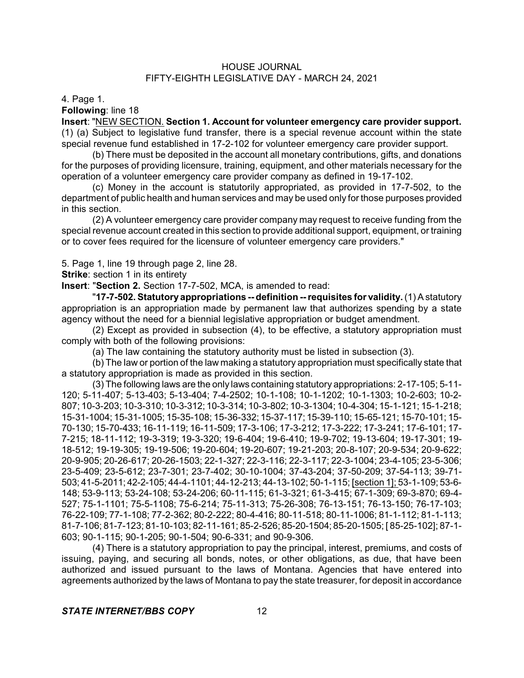4. Page 1.

**Following**: line 18

**Insert**: "NEW SECTION. **Section 1. Account for volunteer emergency care provider support.** (1) (a) Subject to legislative fund transfer, there is a special revenue account within the state special revenue fund established in 17-2-102 for volunteer emergency care provider support.

(b) There must be deposited in the account all monetary contributions, gifts, and donations for the purposes of providing licensure, training, equipment, and other materials necessary for the operation of a volunteer emergency care provider company as defined in 19-17-102.

(c) Money in the account is statutorily appropriated, as provided in 17-7-502, to the department of public health and human services and may be used only for those purposes provided in this section.

(2) A volunteer emergency care provider company may request to receive funding from the special revenue account created in this section to provide additional support, equipment, or training or to cover fees required for the licensure of volunteer emergency care providers."

5. Page 1, line 19 through page 2, line 28.

**Strike:** section 1 in its entirety

**Insert**: "**Section 2.** Section 17-7-502, MCA, is amended to read:

"**17-7-502. Statutory appropriations -- definition --requisites for validity.**(1)A statutory appropriation is an appropriation made by permanent law that authorizes spending by a state agency without the need for a biennial legislative appropriation or budget amendment.

(2) Except as provided in subsection (4), to be effective, a statutory appropriation must comply with both of the following provisions:

(a) The law containing the statutory authority must be listed in subsection (3).

(b) The law or portion of the law making a statutory appropriation must specifically state that a statutory appropriation is made as provided in this section.

(3) The following laws are the only laws containing statutory appropriations: 2-17-105; 5-11- 120; 5-11-407; 5-13-403; 5-13-404; 7-4-2502; 10-1-108; 10-1-1202; 10-1-1303; 10-2-603; 10-2- 807; 10-3-203; 10-3-310; 10-3-312; 10-3-314; 10-3-802; 10-3-1304; 10-4-304; 15-1-121; 15-1-218; 15-31-1004; 15-31-1005; 15-35-108; 15-36-332; 15-37-117; 15-39-110; 15-65-121; 15-70-101; 15- 70-130; 15-70-433; 16-11-119; 16-11-509; 17-3-106; 17-3-212; 17-3-222; 17-3-241; 17-6-101; 17- 7-215; 18-11-112; 19-3-319; 19-3-320; 19-6-404; 19-6-410; 19-9-702; 19-13-604; 19-17-301; 19- 18-512; 19-19-305; 19-19-506; 19-20-604; 19-20-607; 19-21-203; 20-8-107; 20-9-534; 20-9-622; 20-9-905; 20-26-617; 20-26-1503; 22-1-327; 22-3-116; 22-3-117; 22-3-1004; 23-4-105; 23-5-306; 23-5-409; 23-5-612; 23-7-301; 23-7-402; 30-10-1004; 37-43-204; 37-50-209; 37-54-113; 39-71- 503; 41-5-2011; 42-2-105; 44-4-1101; 44-12-213; 44-13-102; 50-1-115; [section 1]; 53-1-109; 53-6- 148; 53-9-113; 53-24-108; 53-24-206; 60-11-115; 61-3-321; 61-3-415; 67-1-309; 69-3-870; 69-4- 527; 75-1-1101; 75-5-1108; 75-6-214; 75-11-313; 75-26-308; 76-13-151; 76-13-150; 76-17-103; 76-22-109; 77-1-108; 77-2-362; 80-2-222; 80-4-416; 80-11-518; 80-11-1006; 81-1-112; 81-1-113; 81-7-106; 81-7-123; 81-10-103; 82-11-161; 85-2-526; 85-20-1504; 85-20-1505; [ 85-25-102]; 87-1- 603; 90-1-115; 90-1-205; 90-1-504; 90-6-331; and 90-9-306.

(4) There is a statutory appropriation to pay the principal, interest, premiums, and costs of issuing, paying, and securing all bonds, notes, or other obligations, as due, that have been authorized and issued pursuant to the laws of Montana. Agencies that have entered into agreements authorized by the laws of Montana to pay the state treasurer, for deposit in accordance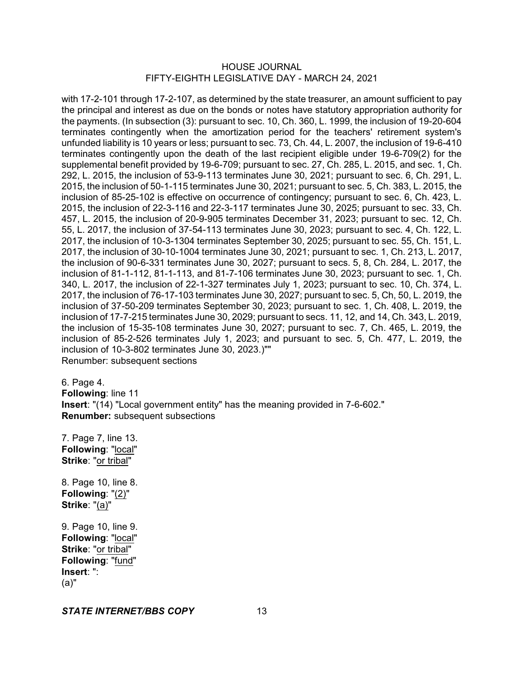with 17-2-101 through 17-2-107, as determined by the state treasurer, an amount sufficient to pay the principal and interest as due on the bonds or notes have statutory appropriation authority for the payments. (In subsection (3): pursuant to sec. 10, Ch. 360, L. 1999, the inclusion of 19-20-604 terminates contingently when the amortization period for the teachers' retirement system's unfunded liability is 10 years or less; pursuant to sec. 73, Ch. 44, L. 2007, the inclusion of 19-6-410 terminates contingently upon the death of the last recipient eligible under 19-6-709(2) for the supplemental benefit provided by 19-6-709; pursuant to sec. 27, Ch. 285, L. 2015, and sec. 1, Ch. 292, L. 2015, the inclusion of 53-9-113 terminates June 30, 2021; pursuant to sec. 6, Ch. 291, L. 2015, the inclusion of 50-1-115 terminates June 30, 2021; pursuant to sec. 5, Ch. 383, L. 2015, the inclusion of 85-25-102 is effective on occurrence of contingency; pursuant to sec. 6, Ch. 423, L. 2015, the inclusion of 22-3-116 and 22-3-117 terminates June 30, 2025; pursuant to sec. 33, Ch. 457, L. 2015, the inclusion of 20-9-905 terminates December 31, 2023; pursuant to sec. 12, Ch. 55, L. 2017, the inclusion of 37-54-113 terminates June 30, 2023; pursuant to sec. 4, Ch. 122, L. 2017, the inclusion of 10-3-1304 terminates September 30, 2025; pursuant to sec. 55, Ch. 151, L. 2017, the inclusion of 30-10-1004 terminates June 30, 2021; pursuant to sec. 1, Ch. 213, L. 2017, the inclusion of 90-6-331 terminates June 30, 2027; pursuant to secs. 5, 8, Ch. 284, L. 2017, the inclusion of 81-1-112, 81-1-113, and 81-7-106 terminates June 30, 2023; pursuant to sec. 1, Ch. 340, L. 2017, the inclusion of 22-1-327 terminates July 1, 2023; pursuant to sec. 10, Ch. 374, L. 2017, the inclusion of 76-17-103 terminates June 30, 2027; pursuant to sec. 5, Ch, 50, L. 2019, the inclusion of 37-50-209 terminates September 30, 2023; pursuant to sec. 1, Ch. 408, L. 2019, the inclusion of 17-7-215 terminates June 30, 2029; pursuant to secs. 11, 12, and 14, Ch. 343, L. 2019, the inclusion of 15-35-108 terminates June 30, 2027; pursuant to sec. 7, Ch. 465, L. 2019, the inclusion of 85-2-526 terminates July 1, 2023; and pursuant to sec. 5, Ch. 477, L. 2019, the inclusion of 10-3-802 terminates June 30, 2023.)"" Renumber: subsequent sections

6. Page 4. **Following**: line 11 **Insert**: "(14) "Local government entity" has the meaning provided in 7-6-602." **Renumber:** subsequent subsections

7. Page 7, line 13. **Following**: "local" **Strike**: "or tribal"

8. Page 10, line 8. **Following**: "(2)" **Strike**: "(a)"

9. Page 10, line 9. **Following**: "local" **Strike**: "or tribal" **Following**: "fund" **Insert**: ": (a)"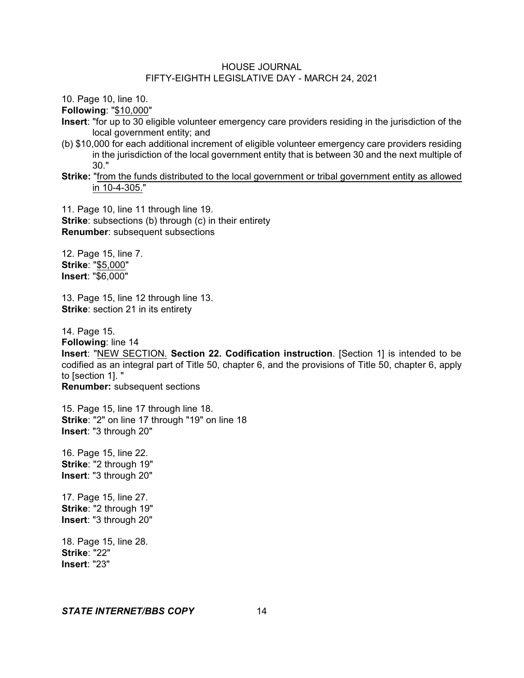10. Page 10, line 10.

**Following**: "\$10,000"

- **Insert**: "for up to 30 eligible volunteer emergency care providers residing in the jurisdiction of the local government entity; and
- (b) \$10,000 for each additional increment of eligible volunteer emergency care providers residing in the jurisdiction of the local government entity that is between 30 and the next multiple of 30."
- **Strike:** "from the funds distributed to the local government or tribal government entity as allowed in 10-4-305."

11. Page 10, line 11 through line 19. **Strike:** subsections (b) through (c) in their entirety **Renumber**: subsequent subsections

12. Page 15, line 7. **Strike**: "\$5,000" **Insert**: "\$6,000"

13. Page 15, line 12 through line 13. **Strike:** section 21 in its entirety

14. Page 15.

**Following**: line 14

**Insert**: "NEW SECTION. **Section 22. Codification instruction**. [Section 1] is intended to be codified as an integral part of Title 50, chapter 6, and the provisions of Title 50, chapter 6, apply to [section 1]. "

**Renumber:** subsequent sections

15. Page 15, line 17 through line 18. **Strike**: "2" on line 17 through "19" on line 18 **Insert**: "3 through 20"

16. Page 15, line 22. **Strike**: "2 through 19" **Insert**: "3 through 20"

17. Page 15, line 27. **Strike**: "2 through 19" **Insert**: "3 through 20"

18. Page 15, line 28. **Strike**: "22" **Insert**: "23"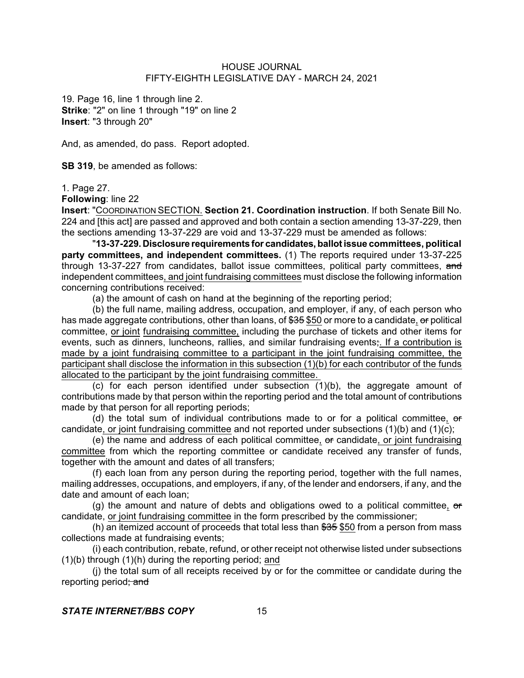19. Page 16, line 1 through line 2. **Strike**: "2" on line 1 through "19" on line 2 **Insert**: "3 through 20"

And, as amended, do pass. Report adopted.

**SB 319**, be amended as follows:

1. Page 27.

**Following**: line 22

**Insert**: "COORDINATION SECTION. **Section 21. Coordination instruction**. If both Senate Bill No. 224 and [this act] are passed and approved and both contain a section amending 13-37-229, then the sections amending 13-37-229 are void and 13-37-229 must be amended as follows:

"**13-37-229. Disclosure requirements for candidates, ballotissue committees, political party committees, and independent committees.** (1) The reports required under 13-37-225 through 13-37-227 from candidates, ballot issue committees, political party committees, and independent committees, and joint fundraising committees must disclose the following information concerning contributions received:

(a) the amount of cash on hand at the beginning of the reporting period;

(b) the full name, mailing address, occupation, and employer, if any, of each person who has made aggregate contributions, other than loans, of \$35 \$50 or more to a candidate, or political committee, or joint fundraising committee, including the purchase of tickets and other items for events, such as dinners, luncheons, rallies, and similar fundraising events;. If a contribution is made by a joint fundraising committee to a participant in the joint fundraising committee, the participant shall disclose the information in this subsection (1)(b) for each contributor of the funds allocated to the participant by the joint fundraising committee.

(c) for each person identified under subsection (1)(b), the aggregate amount of contributions made by that person within the reporting period and the total amount of contributions made by that person for all reporting periods;

(d) the total sum of individual contributions made to or for a political committee, or candidate, or joint fundraising committee and not reported under subsections (1)(b) and (1)(c);

(e) the name and address of each political committee, or candidate, or joint fundraising committee from which the reporting committee or candidate received any transfer of funds, together with the amount and dates of all transfers;

(f) each loan from any person during the reporting period, together with the full names, mailing addresses, occupations, and employers, if any, of the lender and endorsers, if any, and the date and amount of each loan;

(g) the amount and nature of debts and obligations owed to a political committee,  $\sigma$ candidate, or joint fundraising committee in the form prescribed by the commissioner;

(h) an itemized account of proceeds that total less than  $$35$  \$50 from a person from mass collections made at fundraising events;

(i) each contribution, rebate, refund, or other receipt not otherwise listed under subsections (1)(b) through (1)(h) during the reporting period; and

(j) the total sum of all receipts received by or for the committee or candidate during the reporting period; and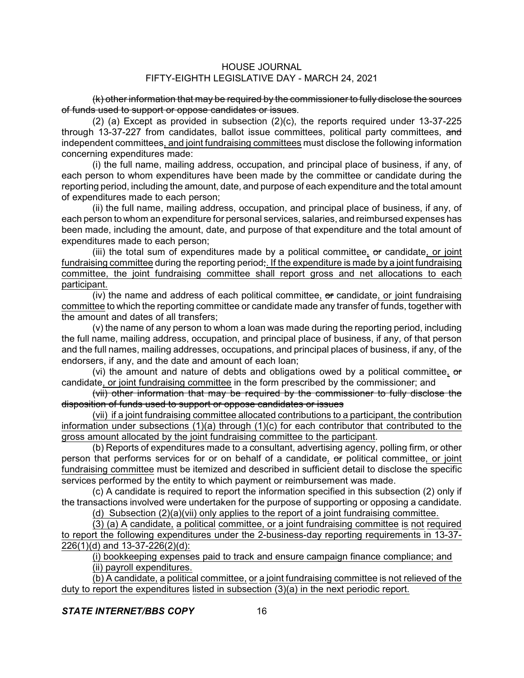(k) other information that may be required by the commissioner to fully disclose the sources of funds used to support or oppose candidates or issues.

(2) (a) Except as provided in subsection (2)(c), the reports required under 13-37-225 through 13-37-227 from candidates, ballot issue committees, political party committees, and independent committees, and joint fundraising committees must disclose the following information concerning expenditures made:

(i) the full name, mailing address, occupation, and principal place of business, if any, of each person to whom expenditures have been made by the committee or candidate during the reporting period, including the amount, date, and purpose of each expenditure and the total amount of expenditures made to each person;

(ii) the full name, mailing address, occupation, and principal place of business, if any, of each person to whom an expenditure for personal services, salaries, and reimbursed expenses has been made, including the amount, date, and purpose of that expenditure and the total amount of expenditures made to each person;

(iii) the total sum of expenditures made by a political committee,  $\sigma$  candidate, or joint fundraising committee during the reporting period;. If the expenditure is made by a joint fundraising committee, the joint fundraising committee shall report gross and net allocations to each participant.

(iv) the name and address of each political committee,  $\sigma$  candidate, or joint fundraising committee to which the reporting committee or candidate made any transfer of funds, together with the amount and dates of all transfers;

(v) the name of any person to whom a loan was made during the reporting period, including the full name, mailing address, occupation, and principal place of business, if any, of that person and the full names, mailing addresses, occupations, and principal places of business, if any, of the endorsers, if any, and the date and amount of each loan;

(vi) the amount and nature of debts and obligations owed by a political committee,  $\theta$ candidate, or joint fundraising committee in the form prescribed by the commissioner; and

(vii) other information that may be required by the commissioner to fully disclose the disposition of funds used to support or oppose candidates or issues

(vii) if a joint fundraising committee allocated contributions to a participant, the contribution information under subsections (1)(a) through (1)(c) for each contributor that contributed to the gross amount allocated by the joint fundraising committee to the participant.

(b) Reports of expenditures made to a consultant, advertising agency, polling firm, or other person that performs services for or on behalf of a candidate, or political committee, or joint fundraising committee must be itemized and described in sufficient detail to disclose the specific services performed by the entity to which payment or reimbursement was made.

(c) A candidate is required to report the information specified in this subsection (2) only if the transactions involved were undertaken for the purpose of supporting or opposing a candidate.

(d) Subsection  $(2)(a)(vii)$  only applies to the report of a joint fundraising committee.

 $(3)$  (a) A candidate, a political committee, or a joint fundraising committee is not required to report the following expenditures under the 2-business-day reporting requirements in 13-37- 226(1)(d) and 13-37-226(2)(d):

(i) bookkeeping expenses paid to track and ensure campaign finance compliance; and

(ii) payroll expenditures.

(b) A candidate, a political committee, or a joint fundraising committee is not relieved of the duty to report the expenditures listed in subsection (3)(a) in the next periodic report.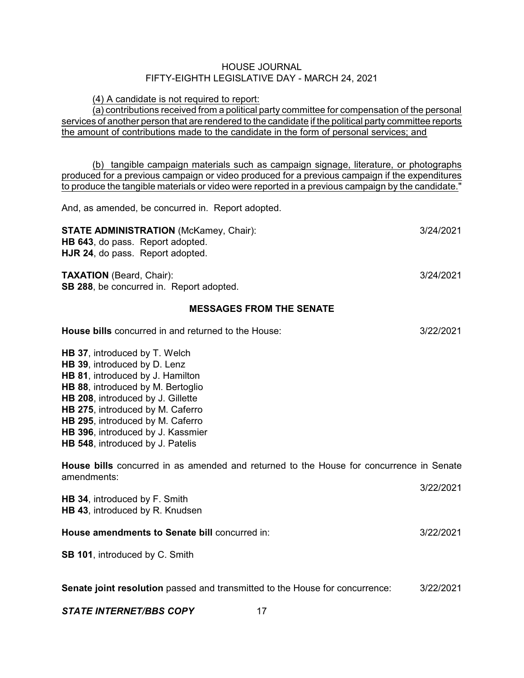(4) A candidate is not required to report:

(a) contributions received from a political party committee for compensation of the personal services of another person that are rendered to the candidate if the political party committee reports the amount of contributions made to the candidate in the form of personal services; and

(b) tangible campaign materials such as campaign signage, literature, or photographs produced for a previous campaign or video produced for a previous campaign if the expenditures to produce the tangible materials or video were reported in a previous campaign by the candidate."

And, as amended, be concurred in. Report adopted.

| <b>STATE ADMINISTRATION (McKamey, Chair):</b>    | 3/24/2021 |
|--------------------------------------------------|-----------|
| <b>HB 643, do pass. Report adopted.</b>          |           |
| <b>HJR 24, do pass. Report adopted.</b>          |           |
| <b>TAXATION</b> (Beard, Chair):                  | 3/24/2021 |
| <b>SB 288</b> , be concurred in. Report adopted. |           |
| <b>MESSAGES FROM THE SENATE</b>                  |           |

# **House bills** concurred in and returned to the House: 3/22/2021 **HB 37**, introduced by T. Welch **HB 39**, introduced by D. Lenz **HB 81**, introduced by J. Hamilton **HB 88**, introduced by M. Bertoglio **HB 208**, introduced by J. Gillette **HB 275**, introduced by M. Caferro **HB 295**, introduced by M. Caferro **HB 396**, introduced by J. Kassmier **HB 548**, introduced by J. Patelis **House bills** concurred in as amended and returned to the House for concurrence in Senate amendments: 3/22/2021 **HB 34**, introduced by F. Smith **HB 43**, introduced by R. Knudsen **House amendments to Senate bill** concurred in: 3/22/2021 **SB 101**, introduced by C. Smith **Senate joint resolution** passed and transmitted to the House for concurrence: 3/22/2021 **STATE INTERNET/BBS COPY** 17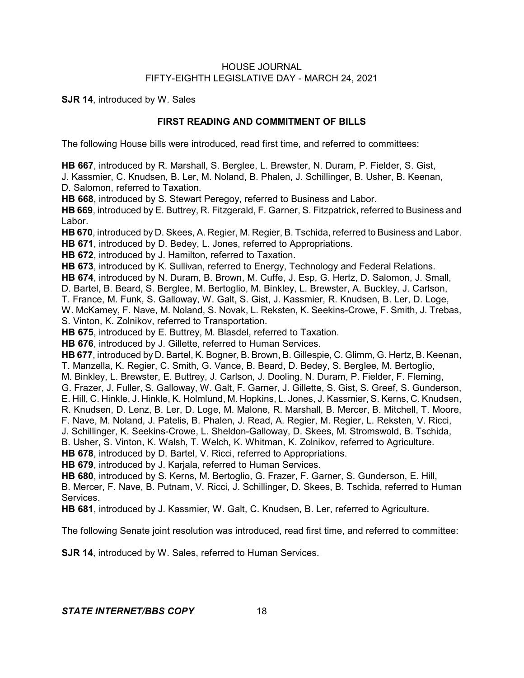**SJR 14**, introduced by W. Sales

# **FIRST READING AND COMMITMENT OF BILLS**

The following House bills were introduced, read first time, and referred to committees:

**HB 667**, introduced by R. Marshall, S. Berglee, L. Brewster, N. Duram, P. Fielder, S. Gist, J. Kassmier, C. Knudsen, B. Ler, M. Noland, B. Phalen, J. Schillinger, B. Usher, B. Keenan,

D. Salomon, referred to Taxation.

**HB 668**, introduced by S. Stewart Peregoy, referred to Business and Labor.

**HB 669**, introduced by E. Buttrey, R. Fitzgerald, F. Garner, S. Fitzpatrick, referred to Business and Labor.

**HB 670**, introduced by D. Skees, A. Regier, M. Regier, B. Tschida, referred to Business and Labor. **HB 671**, introduced by D. Bedey, L. Jones, referred to Appropriations.

**HB 672**, introduced by J. Hamilton, referred to Taxation.

**HB 673**, introduced by K. Sullivan, referred to Energy, Technology and Federal Relations.

**HB 674**, introduced by N. Duram, B. Brown, M. Cuffe, J. Esp, G. Hertz, D. Salomon, J. Small,

D. Bartel, B. Beard, S. Berglee, M. Bertoglio, M. Binkley, L. Brewster, A. Buckley, J. Carlson,

T. France, M. Funk, S. Galloway, W. Galt, S. Gist, J. Kassmier, R. Knudsen, B. Ler, D. Loge,

W. McKamey, F. Nave, M. Noland, S. Novak, L. Reksten, K. Seekins-Crowe, F. Smith, J. Trebas, S. Vinton, K. Zolnikov, referred to Transportation.

**HB 675**, introduced by E. Buttrey, M. Blasdel, referred to Taxation.

**HB 676**, introduced by J. Gillette, referred to Human Services.

**HB 677**, introduced by D. Bartel, K. Bogner, B. Brown, B. Gillespie, C. Glimm, G. Hertz, B. Keenan, T. Manzella, K. Regier, C. Smith, G. Vance, B. Beard, D. Bedey, S. Berglee, M. Bertoglio,

M. Binkley, L. Brewster, E. Buttrey, J. Carlson, J. Dooling, N. Duram, P. Fielder, F. Fleming,

G. Frazer, J. Fuller, S. Galloway, W. Galt, F. Garner, J. Gillette, S. Gist, S. Greef, S. Gunderson,

E. Hill, C. Hinkle, J. Hinkle, K. Holmlund, M. Hopkins, L. Jones, J. Kassmier, S. Kerns, C. Knudsen,

R. Knudsen, D. Lenz, B. Ler, D. Loge, M. Malone, R. Marshall, B. Mercer, B. Mitchell, T. Moore,

F. Nave, M. Noland, J. Patelis, B. Phalen, J. Read, A. Regier, M. Regier, L. Reksten, V. Ricci,

J. Schillinger, K. Seekins-Crowe, L. Sheldon-Galloway, D. Skees, M. Stromswold, B. Tschida,

B. Usher, S. Vinton, K. Walsh, T. Welch, K. Whitman, K. Zolnikov, referred to Agriculture.

**HB 678**, introduced by D. Bartel, V. Ricci, referred to Appropriations.

**HB 679**, introduced by J. Karjala, referred to Human Services.

**HB 680**, introduced by S. Kerns, M. Bertoglio, G. Frazer, F. Garner, S. Gunderson, E. Hill,

B. Mercer, F. Nave, B. Putnam, V. Ricci, J. Schillinger, D. Skees, B. Tschida, referred to Human Services.

**HB 681**, introduced by J. Kassmier, W. Galt, C. Knudsen, B. Ler, referred to Agriculture.

The following Senate joint resolution was introduced, read first time, and referred to committee:

**SJR 14**, introduced by W. Sales, referred to Human Services.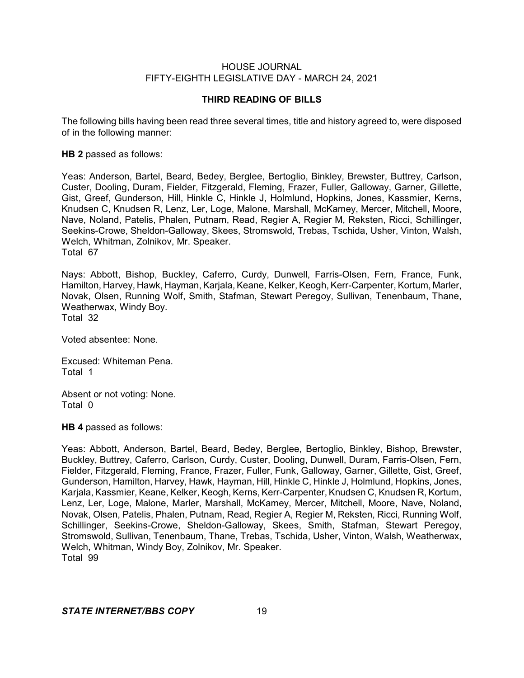#### **THIRD READING OF BILLS**

The following bills having been read three several times, title and history agreed to, were disposed of in the following manner:

#### **HB 2** passed as follows:

Yeas: Anderson, Bartel, Beard, Bedey, Berglee, Bertoglio, Binkley, Brewster, Buttrey, Carlson, Custer, Dooling, Duram, Fielder, Fitzgerald, Fleming, Frazer, Fuller, Galloway, Garner, Gillette, Gist, Greef, Gunderson, Hill, Hinkle C, Hinkle J, Holmlund, Hopkins, Jones, Kassmier, Kerns, Knudsen C, Knudsen R, Lenz, Ler, Loge, Malone, Marshall, McKamey, Mercer, Mitchell, Moore, Nave, Noland, Patelis, Phalen, Putnam, Read, Regier A, Regier M, Reksten, Ricci, Schillinger, Seekins-Crowe, Sheldon-Galloway, Skees, Stromswold, Trebas, Tschida, Usher, Vinton, Walsh, Welch, Whitman, Zolnikov, Mr. Speaker. Total 67

Nays: Abbott, Bishop, Buckley, Caferro, Curdy, Dunwell, Farris-Olsen, Fern, France, Funk, Hamilton, Harvey, Hawk, Hayman, Karjala, Keane, Kelker, Keogh, Kerr-Carpenter, Kortum, Marler, Novak, Olsen, Running Wolf, Smith, Stafman, Stewart Peregoy, Sullivan, Tenenbaum, Thane, Weatherwax, Windy Boy.

Total 32

Voted absentee: None.

Excused: Whiteman Pena. Total 1

Absent or not voting: None. Total 0

**HB 4** passed as follows:

Yeas: Abbott, Anderson, Bartel, Beard, Bedey, Berglee, Bertoglio, Binkley, Bishop, Brewster, Buckley, Buttrey, Caferro, Carlson, Curdy, Custer, Dooling, Dunwell, Duram, Farris-Olsen, Fern, Fielder, Fitzgerald, Fleming, France, Frazer, Fuller, Funk, Galloway, Garner, Gillette, Gist, Greef, Gunderson, Hamilton, Harvey, Hawk, Hayman, Hill, Hinkle C, Hinkle J, Holmlund, Hopkins, Jones, Karjala, Kassmier, Keane, Kelker, Keogh, Kerns, Kerr-Carpenter, Knudsen C, Knudsen R, Kortum, Lenz, Ler, Loge, Malone, Marler, Marshall, McKamey, Mercer, Mitchell, Moore, Nave, Noland, Novak, Olsen, Patelis, Phalen, Putnam, Read, Regier A, Regier M, Reksten, Ricci, Running Wolf, Schillinger, Seekins-Crowe, Sheldon-Galloway, Skees, Smith, Stafman, Stewart Peregoy, Stromswold, Sullivan, Tenenbaum, Thane, Trebas, Tschida, Usher, Vinton, Walsh, Weatherwax, Welch, Whitman, Windy Boy, Zolnikov, Mr. Speaker. Total 99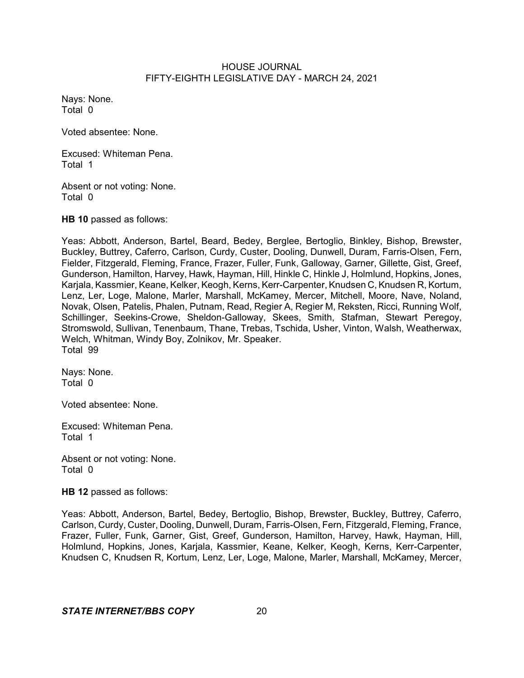Nays: None. Total 0

Voted absentee: None.

Excused: Whiteman Pena. Total 1

Absent or not voting: None. Total 0

**HB 10** passed as follows:

Yeas: Abbott, Anderson, Bartel, Beard, Bedey, Berglee, Bertoglio, Binkley, Bishop, Brewster, Buckley, Buttrey, Caferro, Carlson, Curdy, Custer, Dooling, Dunwell, Duram, Farris-Olsen, Fern, Fielder, Fitzgerald, Fleming, France, Frazer, Fuller, Funk, Galloway, Garner, Gillette, Gist, Greef, Gunderson, Hamilton, Harvey, Hawk, Hayman, Hill, Hinkle C, Hinkle J, Holmlund, Hopkins, Jones, Karjala, Kassmier, Keane, Kelker, Keogh, Kerns, Kerr-Carpenter, Knudsen C, Knudsen R, Kortum, Lenz, Ler, Loge, Malone, Marler, Marshall, McKamey, Mercer, Mitchell, Moore, Nave, Noland, Novak, Olsen, Patelis, Phalen, Putnam, Read, Regier A, Regier M, Reksten, Ricci, Running Wolf, Schillinger, Seekins-Crowe, Sheldon-Galloway, Skees, Smith, Stafman, Stewart Peregoy, Stromswold, Sullivan, Tenenbaum, Thane, Trebas, Tschida, Usher, Vinton, Walsh, Weatherwax, Welch, Whitman, Windy Boy, Zolnikov, Mr. Speaker. Total 99

Nays: None. Total 0

Voted absentee: None.

Excused: Whiteman Pena. Total 1

Absent or not voting: None. Total 0

**HB 12** passed as follows:

Yeas: Abbott, Anderson, Bartel, Bedey, Bertoglio, Bishop, Brewster, Buckley, Buttrey, Caferro, Carlson, Curdy, Custer, Dooling, Dunwell, Duram, Farris-Olsen, Fern, Fitzgerald, Fleming, France, Frazer, Fuller, Funk, Garner, Gist, Greef, Gunderson, Hamilton, Harvey, Hawk, Hayman, Hill, Holmlund, Hopkins, Jones, Karjala, Kassmier, Keane, Kelker, Keogh, Kerns, Kerr-Carpenter, Knudsen C, Knudsen R, Kortum, Lenz, Ler, Loge, Malone, Marler, Marshall, McKamey, Mercer,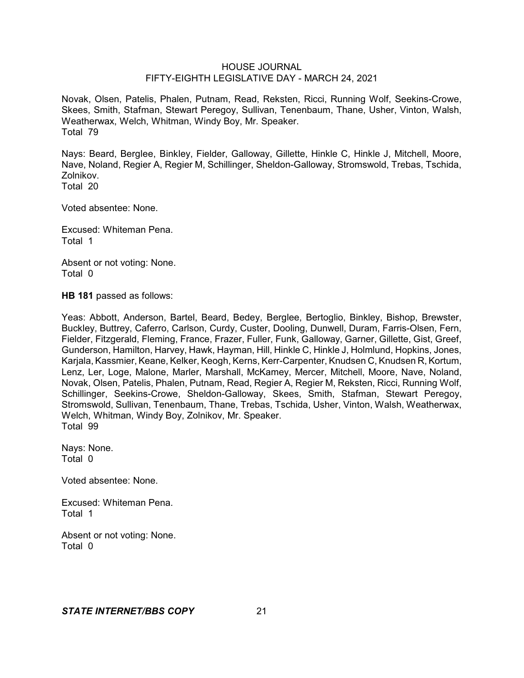Novak, Olsen, Patelis, Phalen, Putnam, Read, Reksten, Ricci, Running Wolf, Seekins-Crowe, Skees, Smith, Stafman, Stewart Peregoy, Sullivan, Tenenbaum, Thane, Usher, Vinton, Walsh, Weatherwax, Welch, Whitman, Windy Boy, Mr. Speaker. Total 79

Nays: Beard, Berglee, Binkley, Fielder, Galloway, Gillette, Hinkle C, Hinkle J, Mitchell, Moore, Nave, Noland, Regier A, Regier M, Schillinger, Sheldon-Galloway, Stromswold, Trebas, Tschida, Zolnikov.

Total 20

Voted absentee: None.

Excused: Whiteman Pena. Total 1

Absent or not voting: None. Total 0

**HB 181** passed as follows:

Yeas: Abbott, Anderson, Bartel, Beard, Bedey, Berglee, Bertoglio, Binkley, Bishop, Brewster, Buckley, Buttrey, Caferro, Carlson, Curdy, Custer, Dooling, Dunwell, Duram, Farris-Olsen, Fern, Fielder, Fitzgerald, Fleming, France, Frazer, Fuller, Funk, Galloway, Garner, Gillette, Gist, Greef, Gunderson, Hamilton, Harvey, Hawk, Hayman, Hill, Hinkle C, Hinkle J, Holmlund, Hopkins, Jones, Karjala, Kassmier, Keane, Kelker, Keogh, Kerns, Kerr-Carpenter, Knudsen C, Knudsen R, Kortum, Lenz, Ler, Loge, Malone, Marler, Marshall, McKamey, Mercer, Mitchell, Moore, Nave, Noland, Novak, Olsen, Patelis, Phalen, Putnam, Read, Regier A, Regier M, Reksten, Ricci, Running Wolf, Schillinger, Seekins-Crowe, Sheldon-Galloway, Skees, Smith, Stafman, Stewart Peregoy, Stromswold, Sullivan, Tenenbaum, Thane, Trebas, Tschida, Usher, Vinton, Walsh, Weatherwax, Welch, Whitman, Windy Boy, Zolnikov, Mr. Speaker. Total 99

Nays: None. Total 0

Voted absentee: None.

Excused: Whiteman Pena. Total 1

Absent or not voting: None. Total 0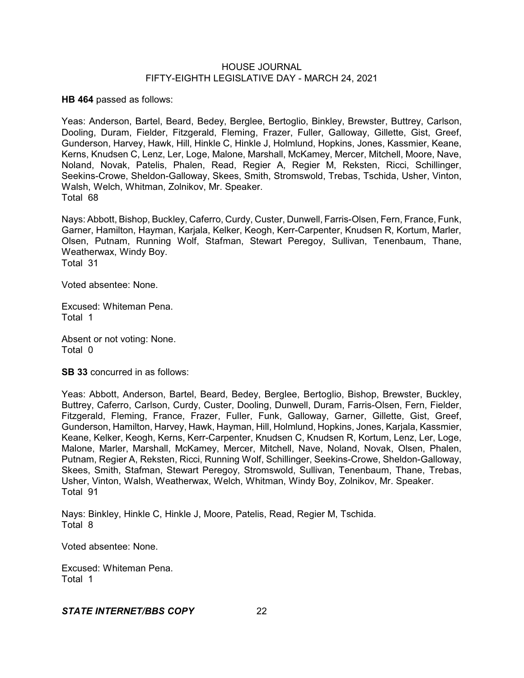**HB 464** passed as follows:

Yeas: Anderson, Bartel, Beard, Bedey, Berglee, Bertoglio, Binkley, Brewster, Buttrey, Carlson, Dooling, Duram, Fielder, Fitzgerald, Fleming, Frazer, Fuller, Galloway, Gillette, Gist, Greef, Gunderson, Harvey, Hawk, Hill, Hinkle C, Hinkle J, Holmlund, Hopkins, Jones, Kassmier, Keane, Kerns, Knudsen C, Lenz, Ler, Loge, Malone, Marshall, McKamey, Mercer, Mitchell, Moore, Nave, Noland, Novak, Patelis, Phalen, Read, Regier A, Regier M, Reksten, Ricci, Schillinger, Seekins-Crowe, Sheldon-Galloway, Skees, Smith, Stromswold, Trebas, Tschida, Usher, Vinton, Walsh, Welch, Whitman, Zolnikov, Mr. Speaker. Total 68

Nays: Abbott, Bishop, Buckley, Caferro, Curdy, Custer, Dunwell, Farris-Olsen, Fern, France, Funk, Garner, Hamilton, Hayman, Karjala, Kelker, Keogh, Kerr-Carpenter, Knudsen R, Kortum, Marler, Olsen, Putnam, Running Wolf, Stafman, Stewart Peregoy, Sullivan, Tenenbaum, Thane, Weatherwax, Windy Boy. Total 31

Voted absentee: None.

Excused: Whiteman Pena. Total 1

Absent or not voting: None. Total 0

**SB 33** concurred in as follows:

Yeas: Abbott, Anderson, Bartel, Beard, Bedey, Berglee, Bertoglio, Bishop, Brewster, Buckley, Buttrey, Caferro, Carlson, Curdy, Custer, Dooling, Dunwell, Duram, Farris-Olsen, Fern, Fielder, Fitzgerald, Fleming, France, Frazer, Fuller, Funk, Galloway, Garner, Gillette, Gist, Greef, Gunderson, Hamilton, Harvey, Hawk, Hayman, Hill, Holmlund, Hopkins, Jones, Karjala, Kassmier, Keane, Kelker, Keogh, Kerns, Kerr-Carpenter, Knudsen C, Knudsen R, Kortum, Lenz, Ler, Loge, Malone, Marler, Marshall, McKamey, Mercer, Mitchell, Nave, Noland, Novak, Olsen, Phalen, Putnam, Regier A, Reksten, Ricci, Running Wolf, Schillinger, Seekins-Crowe, Sheldon-Galloway, Skees, Smith, Stafman, Stewart Peregoy, Stromswold, Sullivan, Tenenbaum, Thane, Trebas, Usher, Vinton, Walsh, Weatherwax, Welch, Whitman, Windy Boy, Zolnikov, Mr. Speaker. Total 91

Nays: Binkley, Hinkle C, Hinkle J, Moore, Patelis, Read, Regier M, Tschida. Total 8

Voted absentee: None.

Excused: Whiteman Pena. Total 1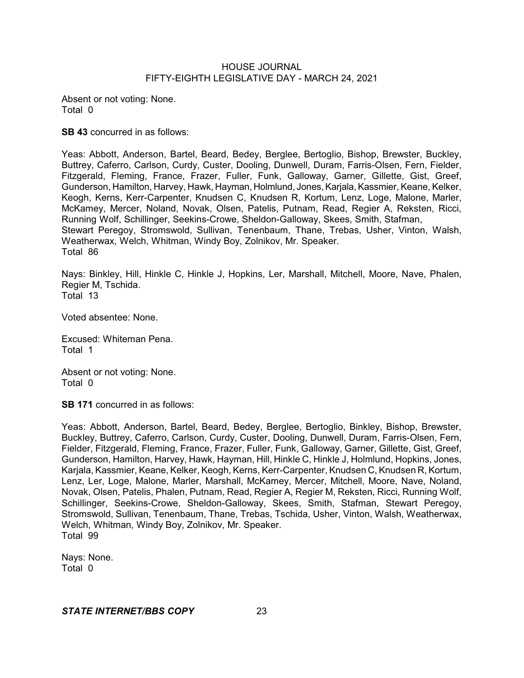Absent or not voting: None. Total 0

**SB 43** concurred in as follows:

Yeas: Abbott, Anderson, Bartel, Beard, Bedey, Berglee, Bertoglio, Bishop, Brewster, Buckley, Buttrey, Caferro, Carlson, Curdy, Custer, Dooling, Dunwell, Duram, Farris-Olsen, Fern, Fielder, Fitzgerald, Fleming, France, Frazer, Fuller, Funk, Galloway, Garner, Gillette, Gist, Greef, Gunderson, Hamilton, Harvey, Hawk, Hayman, Holmlund, Jones, Karjala, Kassmier, Keane, Kelker, Keogh, Kerns, Kerr-Carpenter, Knudsen C, Knudsen R, Kortum, Lenz, Loge, Malone, Marler, McKamey, Mercer, Noland, Novak, Olsen, Patelis, Putnam, Read, Regier A, Reksten, Ricci, Running Wolf, Schillinger, Seekins-Crowe, Sheldon-Galloway, Skees, Smith, Stafman, Stewart Peregoy, Stromswold, Sullivan, Tenenbaum, Thane, Trebas, Usher, Vinton, Walsh, Weatherwax, Welch, Whitman, Windy Boy, Zolnikov, Mr. Speaker. Total 86

Nays: Binkley, Hill, Hinkle C, Hinkle J, Hopkins, Ler, Marshall, Mitchell, Moore, Nave, Phalen, Regier M, Tschida. Total 13

Voted absentee: None.

Excused: Whiteman Pena. Total 1

Absent or not voting: None. Total 0

**SB 171** concurred in as follows:

Yeas: Abbott, Anderson, Bartel, Beard, Bedey, Berglee, Bertoglio, Binkley, Bishop, Brewster, Buckley, Buttrey, Caferro, Carlson, Curdy, Custer, Dooling, Dunwell, Duram, Farris-Olsen, Fern, Fielder, Fitzgerald, Fleming, France, Frazer, Fuller, Funk, Galloway, Garner, Gillette, Gist, Greef, Gunderson, Hamilton, Harvey, Hawk, Hayman, Hill, Hinkle C, Hinkle J, Holmlund, Hopkins, Jones, Karjala, Kassmier, Keane, Kelker, Keogh, Kerns, Kerr-Carpenter, Knudsen C, Knudsen R, Kortum, Lenz, Ler, Loge, Malone, Marler, Marshall, McKamey, Mercer, Mitchell, Moore, Nave, Noland, Novak, Olsen, Patelis, Phalen, Putnam, Read, Regier A, Regier M, Reksten, Ricci, Running Wolf, Schillinger, Seekins-Crowe, Sheldon-Galloway, Skees, Smith, Stafman, Stewart Peregoy, Stromswold, Sullivan, Tenenbaum, Thane, Trebas, Tschida, Usher, Vinton, Walsh, Weatherwax, Welch, Whitman, Windy Boy, Zolnikov, Mr. Speaker. Total 99

Nays: None. Total 0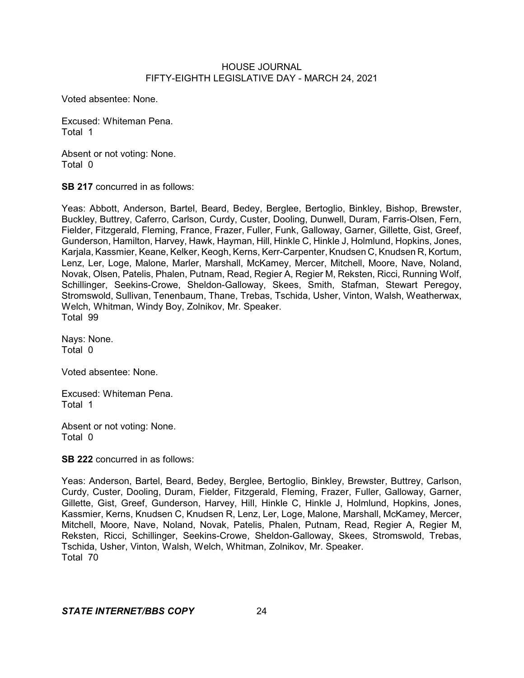Voted absentee: None.

Excused: Whiteman Pena. Total 1

Absent or not voting: None. Total 0

**SB 217** concurred in as follows:

Yeas: Abbott, Anderson, Bartel, Beard, Bedey, Berglee, Bertoglio, Binkley, Bishop, Brewster, Buckley, Buttrey, Caferro, Carlson, Curdy, Custer, Dooling, Dunwell, Duram, Farris-Olsen, Fern, Fielder, Fitzgerald, Fleming, France, Frazer, Fuller, Funk, Galloway, Garner, Gillette, Gist, Greef, Gunderson, Hamilton, Harvey, Hawk, Hayman, Hill, Hinkle C, Hinkle J, Holmlund, Hopkins, Jones, Karjala, Kassmier, Keane, Kelker, Keogh, Kerns, Kerr-Carpenter, Knudsen C, Knudsen R, Kortum, Lenz, Ler, Loge, Malone, Marler, Marshall, McKamey, Mercer, Mitchell, Moore, Nave, Noland, Novak, Olsen, Patelis, Phalen, Putnam, Read, Regier A, Regier M, Reksten, Ricci, Running Wolf, Schillinger, Seekins-Crowe, Sheldon-Galloway, Skees, Smith, Stafman, Stewart Peregoy, Stromswold, Sullivan, Tenenbaum, Thane, Trebas, Tschida, Usher, Vinton, Walsh, Weatherwax, Welch, Whitman, Windy Boy, Zolnikov, Mr. Speaker. Total 99

Nays: None. Total 0

Voted absentee: None.

Excused: Whiteman Pena. Total 1

Absent or not voting: None. Total 0

**SB 222** concurred in as follows:

Yeas: Anderson, Bartel, Beard, Bedey, Berglee, Bertoglio, Binkley, Brewster, Buttrey, Carlson, Curdy, Custer, Dooling, Duram, Fielder, Fitzgerald, Fleming, Frazer, Fuller, Galloway, Garner, Gillette, Gist, Greef, Gunderson, Harvey, Hill, Hinkle C, Hinkle J, Holmlund, Hopkins, Jones, Kassmier, Kerns, Knudsen C, Knudsen R, Lenz, Ler, Loge, Malone, Marshall, McKamey, Mercer, Mitchell, Moore, Nave, Noland, Novak, Patelis, Phalen, Putnam, Read, Regier A, Regier M, Reksten, Ricci, Schillinger, Seekins-Crowe, Sheldon-Galloway, Skees, Stromswold, Trebas, Tschida, Usher, Vinton, Walsh, Welch, Whitman, Zolnikov, Mr. Speaker. Total 70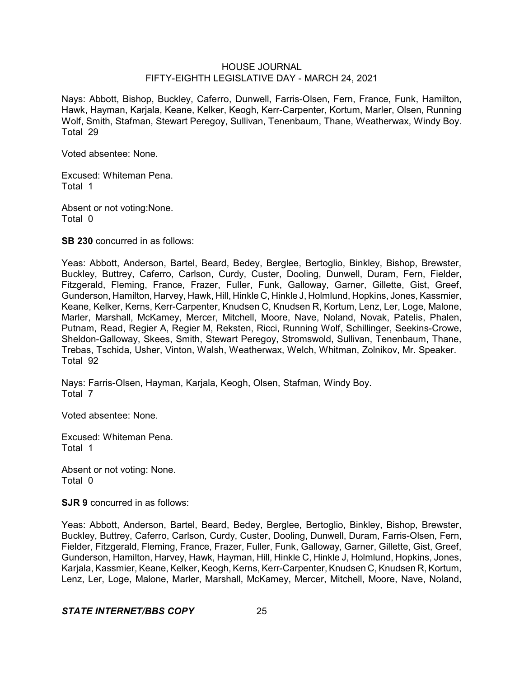Nays: Abbott, Bishop, Buckley, Caferro, Dunwell, Farris-Olsen, Fern, France, Funk, Hamilton, Hawk, Hayman, Karjala, Keane, Kelker, Keogh, Kerr-Carpenter, Kortum, Marler, Olsen, Running Wolf, Smith, Stafman, Stewart Peregoy, Sullivan, Tenenbaum, Thane, Weatherwax, Windy Boy. Total 29

Voted absentee: None.

Excused: Whiteman Pena. Total 1

Absent or not voting:None. Total 0

**SB 230** concurred in as follows:

Yeas: Abbott, Anderson, Bartel, Beard, Bedey, Berglee, Bertoglio, Binkley, Bishop, Brewster, Buckley, Buttrey, Caferro, Carlson, Curdy, Custer, Dooling, Dunwell, Duram, Fern, Fielder, Fitzgerald, Fleming, France, Frazer, Fuller, Funk, Galloway, Garner, Gillette, Gist, Greef, Gunderson, Hamilton, Harvey, Hawk, Hill, Hinkle C, Hinkle J, Holmlund, Hopkins, Jones, Kassmier, Keane, Kelker, Kerns, Kerr-Carpenter, Knudsen C, Knudsen R, Kortum, Lenz, Ler, Loge, Malone, Marler, Marshall, McKamey, Mercer, Mitchell, Moore, Nave, Noland, Novak, Patelis, Phalen, Putnam, Read, Regier A, Regier M, Reksten, Ricci, Running Wolf, Schillinger, Seekins-Crowe, Sheldon-Galloway, Skees, Smith, Stewart Peregoy, Stromswold, Sullivan, Tenenbaum, Thane, Trebas, Tschida, Usher, Vinton, Walsh, Weatherwax, Welch, Whitman, Zolnikov, Mr. Speaker. Total 92

Nays: Farris-Olsen, Hayman, Karjala, Keogh, Olsen, Stafman, Windy Boy. Total 7

Voted absentee: None.

Excused: Whiteman Pena. Total 1

Absent or not voting: None. Total 0

**SJR 9** concurred in as follows:

Yeas: Abbott, Anderson, Bartel, Beard, Bedey, Berglee, Bertoglio, Binkley, Bishop, Brewster, Buckley, Buttrey, Caferro, Carlson, Curdy, Custer, Dooling, Dunwell, Duram, Farris-Olsen, Fern, Fielder, Fitzgerald, Fleming, France, Frazer, Fuller, Funk, Galloway, Garner, Gillette, Gist, Greef, Gunderson, Hamilton, Harvey, Hawk, Hayman, Hill, Hinkle C, Hinkle J, Holmlund, Hopkins, Jones, Karjala, Kassmier, Keane, Kelker, Keogh,Kerns, Kerr-Carpenter, Knudsen C, Knudsen R, Kortum, Lenz, Ler, Loge, Malone, Marler, Marshall, McKamey, Mercer, Mitchell, Moore, Nave, Noland,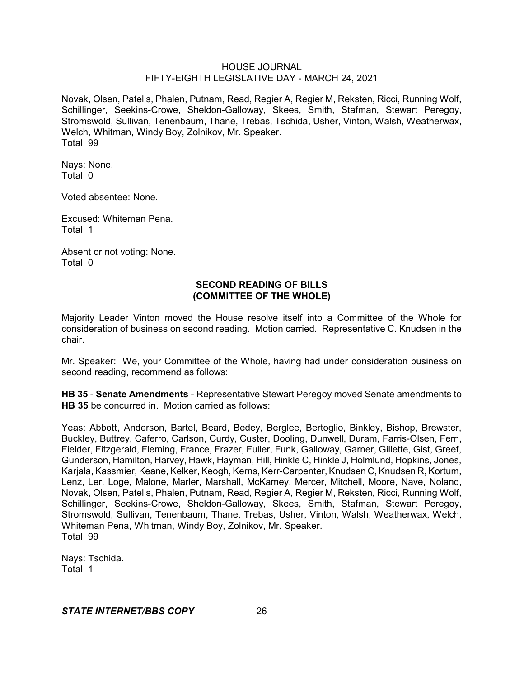Novak, Olsen, Patelis, Phalen, Putnam, Read, Regier A, Regier M, Reksten, Ricci, Running Wolf, Schillinger, Seekins-Crowe, Sheldon-Galloway, Skees, Smith, Stafman, Stewart Peregoy, Stromswold, Sullivan, Tenenbaum, Thane, Trebas, Tschida, Usher, Vinton, Walsh, Weatherwax, Welch, Whitman, Windy Boy, Zolnikov, Mr. Speaker. Total 99

Nays: None. Total 0

Voted absentee: None.

Excused: Whiteman Pena. Total 1

Absent or not voting: None. Total 0

# **SECOND READING OF BILLS (COMMITTEE OF THE WHOLE)**

Majority Leader Vinton moved the House resolve itself into a Committee of the Whole for consideration of business on second reading. Motion carried. Representative C. Knudsen in the chair.

Mr. Speaker: We, your Committee of the Whole, having had under consideration business on second reading, recommend as follows:

**HB 35** - **Senate Amendments** - Representative Stewart Peregoy moved Senate amendments to **HB 35** be concurred in. Motion carried as follows:

Yeas: Abbott, Anderson, Bartel, Beard, Bedey, Berglee, Bertoglio, Binkley, Bishop, Brewster, Buckley, Buttrey, Caferro, Carlson, Curdy, Custer, Dooling, Dunwell, Duram, Farris-Olsen, Fern, Fielder, Fitzgerald, Fleming, France, Frazer, Fuller, Funk, Galloway, Garner, Gillette, Gist, Greef, Gunderson, Hamilton, Harvey, Hawk, Hayman, Hill, Hinkle C, Hinkle J, Holmlund, Hopkins, Jones, Karjala, Kassmier, Keane, Kelker, Keogh, Kerns, Kerr-Carpenter, Knudsen C, Knudsen R, Kortum, Lenz, Ler, Loge, Malone, Marler, Marshall, McKamey, Mercer, Mitchell, Moore, Nave, Noland, Novak, Olsen, Patelis, Phalen, Putnam, Read, Regier A, Regier M, Reksten, Ricci, Running Wolf, Schillinger, Seekins-Crowe, Sheldon-Galloway, Skees, Smith, Stafman, Stewart Peregoy, Stromswold, Sullivan, Tenenbaum, Thane, Trebas, Usher, Vinton, Walsh, Weatherwax, Welch, Whiteman Pena, Whitman, Windy Boy, Zolnikov, Mr. Speaker. Total 99

Nays: Tschida. Total 1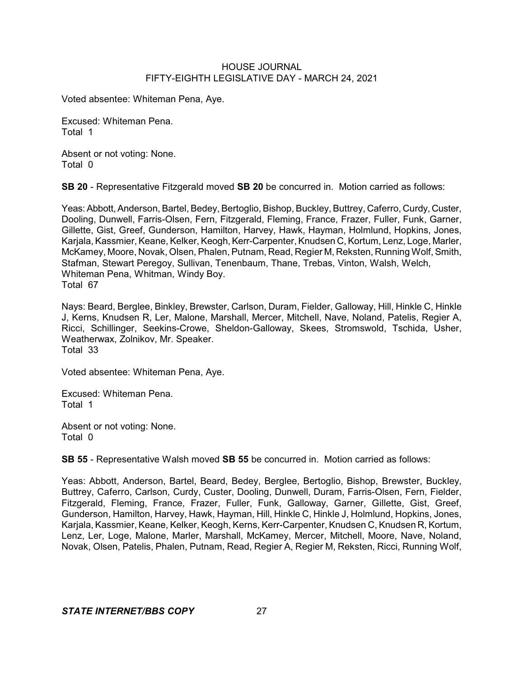Voted absentee: Whiteman Pena, Aye.

Excused: Whiteman Pena. Total 1

Absent or not voting: None. Total 0

**SB 20** - Representative Fitzgerald moved **SB 20** be concurred in. Motion carried as follows:

Yeas: Abbott, Anderson, Bartel, Bedey, Bertoglio, Bishop, Buckley, Buttrey, Caferro, Curdy, Custer, Dooling, Dunwell, Farris-Olsen, Fern, Fitzgerald, Fleming, France, Frazer, Fuller, Funk, Garner, Gillette, Gist, Greef, Gunderson, Hamilton, Harvey, Hawk, Hayman, Holmlund, Hopkins, Jones, Kariala, Kassmier, Keane, Kelker, Keogh, Kerr-Carpenter, Knudsen C, Kortum, Lenz, Loge, Marler, McKamey, Moore, Novak, Olsen, Phalen, Putnam, Read, Regier M, Reksten, Running Wolf,Smith, Stafman, Stewart Peregoy, Sullivan, Tenenbaum, Thane, Trebas, Vinton, Walsh, Welch, Whiteman Pena, Whitman, Windy Boy. Total 67

Nays: Beard, Berglee, Binkley, Brewster, Carlson, Duram, Fielder, Galloway, Hill, Hinkle C, Hinkle J, Kerns, Knudsen R, Ler, Malone, Marshall, Mercer, Mitchell, Nave, Noland, Patelis, Regier A, Ricci, Schillinger, Seekins-Crowe, Sheldon-Galloway, Skees, Stromswold, Tschida, Usher, Weatherwax, Zolnikov, Mr. Speaker. Total 33

Voted absentee: Whiteman Pena, Aye.

Excused: Whiteman Pena. Total 1

Absent or not voting: None. Total 0

**SB 55** - Representative Walsh moved **SB 55** be concurred in. Motion carried as follows:

Yeas: Abbott, Anderson, Bartel, Beard, Bedey, Berglee, Bertoglio, Bishop, Brewster, Buckley, Buttrey, Caferro, Carlson, Curdy, Custer, Dooling, Dunwell, Duram, Farris-Olsen, Fern, Fielder, Fitzgerald, Fleming, France, Frazer, Fuller, Funk, Galloway, Garner, Gillette, Gist, Greef, Gunderson, Hamilton, Harvey, Hawk, Hayman, Hill, Hinkle C, Hinkle J, Holmlund, Hopkins, Jones, Karjala, Kassmier, Keane, Kelker, Keogh, Kerns, Kerr-Carpenter, Knudsen C, Knudsen R, Kortum, Lenz, Ler, Loge, Malone, Marler, Marshall, McKamey, Mercer, Mitchell, Moore, Nave, Noland, Novak, Olsen, Patelis, Phalen, Putnam, Read, Regier A, Regier M, Reksten, Ricci, Running Wolf,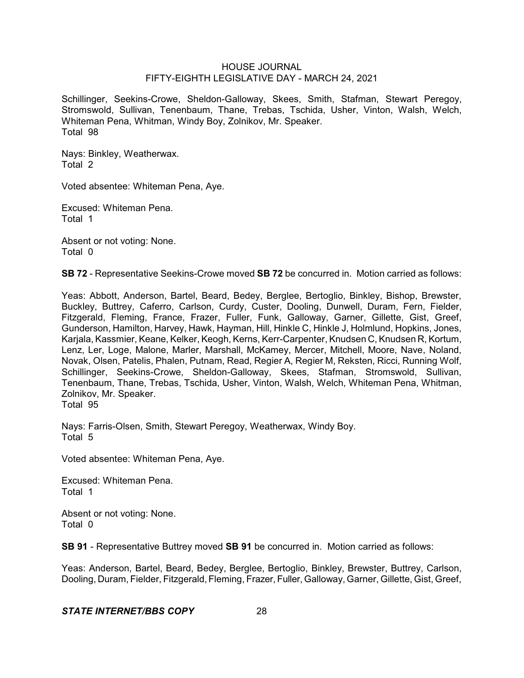Schillinger, Seekins-Crowe, Sheldon-Galloway, Skees, Smith, Stafman, Stewart Peregoy, Stromswold, Sullivan, Tenenbaum, Thane, Trebas, Tschida, Usher, Vinton, Walsh, Welch, Whiteman Pena, Whitman, Windy Boy, Zolnikov, Mr. Speaker. Total 98

Nays: Binkley, Weatherwax. Total 2

Voted absentee: Whiteman Pena, Aye.

Excused: Whiteman Pena. Total 1

Absent or not voting: None. Total 0

**SB 72** - Representative Seekins-Crowe moved **SB 72** be concurred in. Motion carried as follows:

Yeas: Abbott, Anderson, Bartel, Beard, Bedey, Berglee, Bertoglio, Binkley, Bishop, Brewster, Buckley, Buttrey, Caferro, Carlson, Curdy, Custer, Dooling, Dunwell, Duram, Fern, Fielder, Fitzgerald, Fleming, France, Frazer, Fuller, Funk, Galloway, Garner, Gillette, Gist, Greef, Gunderson, Hamilton, Harvey, Hawk, Hayman, Hill, Hinkle C, Hinkle J, Holmlund, Hopkins, Jones, Karjala, Kassmier, Keane, Kelker, Keogh, Kerns, Kerr-Carpenter, Knudsen C, Knudsen R, Kortum, Lenz, Ler, Loge, Malone, Marler, Marshall, McKamey, Mercer, Mitchell, Moore, Nave, Noland, Novak, Olsen, Patelis, Phalen, Putnam, Read, Regier A, Regier M, Reksten, Ricci, Running Wolf, Schillinger, Seekins-Crowe, Sheldon-Galloway, Skees, Stafman, Stromswold, Sullivan, Tenenbaum, Thane, Trebas, Tschida, Usher, Vinton, Walsh, Welch, Whiteman Pena, Whitman, Zolnikov, Mr. Speaker.

Total 95

Nays: Farris-Olsen, Smith, Stewart Peregoy, Weatherwax, Windy Boy. Total 5

Voted absentee: Whiteman Pena, Aye.

Excused: Whiteman Pena. Total 1

Absent or not voting: None. Total 0

**SB 91** - Representative Buttrey moved **SB 91** be concurred in. Motion carried as follows:

Yeas: Anderson, Bartel, Beard, Bedey, Berglee, Bertoglio, Binkley, Brewster, Buttrey, Carlson, Dooling, Duram, Fielder, Fitzgerald, Fleming, Frazer, Fuller, Galloway, Garner, Gillette, Gist, Greef,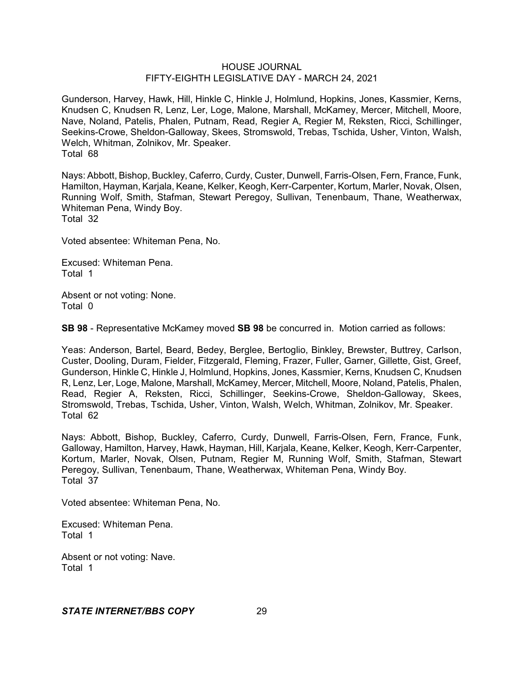Gunderson, Harvey, Hawk, Hill, Hinkle C, Hinkle J, Holmlund, Hopkins, Jones, Kassmier, Kerns, Knudsen C, Knudsen R, Lenz, Ler, Loge, Malone, Marshall, McKamey, Mercer, Mitchell, Moore, Nave, Noland, Patelis, Phalen, Putnam, Read, Regier A, Regier M, Reksten, Ricci, Schillinger, Seekins-Crowe, Sheldon-Galloway, Skees, Stromswold, Trebas, Tschida, Usher, Vinton, Walsh, Welch, Whitman, Zolnikov, Mr. Speaker. Total 68

Nays: Abbott, Bishop, Buckley, Caferro, Curdy, Custer, Dunwell, Farris-Olsen, Fern, France, Funk, Hamilton, Hayman, Karjala, Keane, Kelker, Keogh, Kerr-Carpenter, Kortum, Marler, Novak, Olsen, Running Wolf, Smith, Stafman, Stewart Peregoy, Sullivan, Tenenbaum, Thane, Weatherwax, Whiteman Pena, Windy Boy. Total 32

Voted absentee: Whiteman Pena, No.

Excused: Whiteman Pena. Total 1

Absent or not voting: None. Total 0

**SB 98** - Representative McKamey moved **SB 98** be concurred in. Motion carried as follows:

Yeas: Anderson, Bartel, Beard, Bedey, Berglee, Bertoglio, Binkley, Brewster, Buttrey, Carlson, Custer, Dooling, Duram, Fielder, Fitzgerald, Fleming, Frazer, Fuller, Garner, Gillette, Gist, Greef, Gunderson, Hinkle C, Hinkle J, Holmlund, Hopkins, Jones, Kassmier, Kerns, Knudsen C, Knudsen R, Lenz, Ler, Loge, Malone, Marshall, McKamey, Mercer, Mitchell, Moore, Noland, Patelis, Phalen, Read, Regier A, Reksten, Ricci, Schillinger, Seekins-Crowe, Sheldon-Galloway, Skees, Stromswold, Trebas, Tschida, Usher, Vinton, Walsh, Welch, Whitman, Zolnikov, Mr. Speaker. Total 62

Nays: Abbott, Bishop, Buckley, Caferro, Curdy, Dunwell, Farris-Olsen, Fern, France, Funk, Galloway, Hamilton, Harvey, Hawk, Hayman, Hill, Karjala, Keane, Kelker, Keogh, Kerr-Carpenter, Kortum, Marler, Novak, Olsen, Putnam, Regier M, Running Wolf, Smith, Stafman, Stewart Peregoy, Sullivan, Tenenbaum, Thane, Weatherwax, Whiteman Pena, Windy Boy. Total 37

Voted absentee: Whiteman Pena, No.

Excused: Whiteman Pena. Total 1

Absent or not voting: Nave. Total 1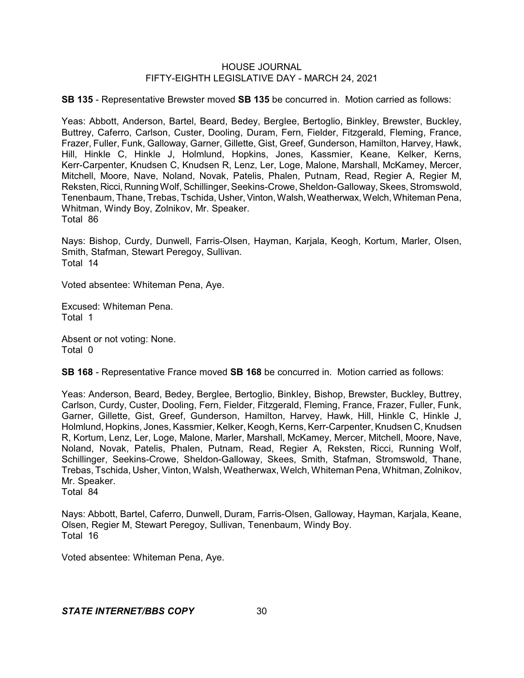**SB 135** - Representative Brewster moved **SB 135** be concurred in. Motion carried as follows:

Yeas: Abbott, Anderson, Bartel, Beard, Bedey, Berglee, Bertoglio, Binkley, Brewster, Buckley, Buttrey, Caferro, Carlson, Custer, Dooling, Duram, Fern, Fielder, Fitzgerald, Fleming, France, Frazer, Fuller, Funk, Galloway, Garner, Gillette, Gist, Greef, Gunderson, Hamilton, Harvey, Hawk, Hill, Hinkle C, Hinkle J, Holmlund, Hopkins, Jones, Kassmier, Keane, Kelker, Kerns, Kerr-Carpenter, Knudsen C, Knudsen R, Lenz, Ler, Loge, Malone, Marshall, McKamey, Mercer, Mitchell, Moore, Nave, Noland, Novak, Patelis, Phalen, Putnam, Read, Regier A, Regier M, Reksten, Ricci, Running Wolf, Schillinger, Seekins-Crowe, Sheldon-Galloway, Skees, Stromswold, Tenenbaum, Thane, Trebas, Tschida, Usher,Vinton, Walsh,Weatherwax, Welch, Whiteman Pena, Whitman, Windy Boy, Zolnikov, Mr. Speaker. Total 86

Nays: Bishop, Curdy, Dunwell, Farris-Olsen, Hayman, Karjala, Keogh, Kortum, Marler, Olsen, Smith, Stafman, Stewart Peregoy, Sullivan. Total 14

Voted absentee: Whiteman Pena, Aye.

Excused: Whiteman Pena. Total 1

Absent or not voting: None. Total 0

**SB 168** - Representative France moved **SB 168** be concurred in. Motion carried as follows:

Yeas: Anderson, Beard, Bedey, Berglee, Bertoglio, Binkley, Bishop, Brewster, Buckley, Buttrey, Carlson, Curdy, Custer, Dooling, Fern, Fielder, Fitzgerald, Fleming, France, Frazer, Fuller, Funk, Garner, Gillette, Gist, Greef, Gunderson, Hamilton, Harvey, Hawk, Hill, Hinkle C, Hinkle J, Holmlund, Hopkins, Jones, Kassmier, Kelker, Keogh, Kerns, Kerr-Carpenter,Knudsen C, Knudsen R, Kortum, Lenz, Ler, Loge, Malone, Marler, Marshall, McKamey, Mercer, Mitchell, Moore, Nave, Noland, Novak, Patelis, Phalen, Putnam, Read, Regier A, Reksten, Ricci, Running Wolf, Schillinger, Seekins-Crowe, Sheldon-Galloway, Skees, Smith, Stafman, Stromswold, Thane, Trebas, Tschida, Usher, Vinton, Walsh, Weatherwax, Welch, Whiteman Pena, Whitman, Zolnikov, Mr. Speaker.

Total 84

Nays: Abbott, Bartel, Caferro, Dunwell, Duram, Farris-Olsen, Galloway, Hayman, Karjala, Keane, Olsen, Regier M, Stewart Peregoy, Sullivan, Tenenbaum, Windy Boy. Total 16

Voted absentee: Whiteman Pena, Aye.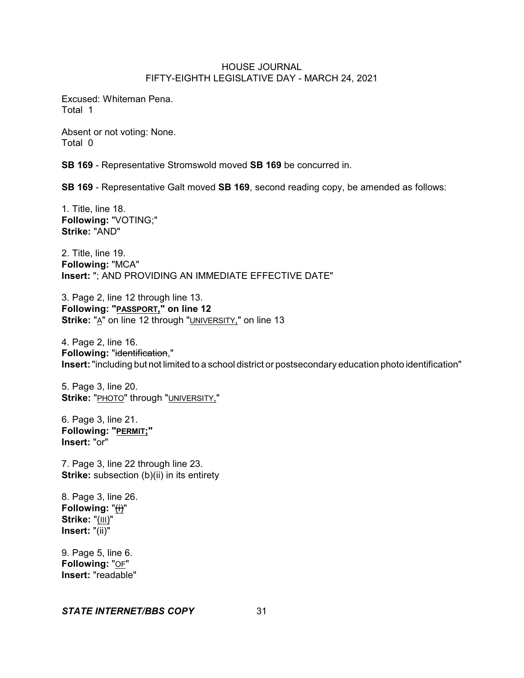Excused: Whiteman Pena. Total 1

Absent or not voting: None. Total 0

**SB 169** - Representative Stromswold moved **SB 169** be concurred in.

**SB 169** - Representative Galt moved **SB 169**, second reading copy, be amended as follows:

1. Title, line 18. **Following:** "VOTING;" **Strike:** "AND"

2. Title, line 19. **Following:** "MCA" **Insert:** "; AND PROVIDING AN IMMEDIATE EFFECTIVE DATE"

3. Page 2, line 12 through line 13. **Following: "PASSPORT," on line 12 Strike:** "A" on line 12 through "UNIVERSITY," on line 13

4. Page 2, line 16. **Following:** "identification," **Insert:**"including but not limited to a school district or postsecondary education photo identification"

5. Page 3, line 20. **Strike:** "PHOTO" through "UNIVERSITY,"

6. Page 3, line 21. **Following: "PERMIT;" Insert:** "or"

7. Page 3, line 22 through line 23. **Strike:** subsection (b)(ii) in its entirety

8. Page 3, line 26. Following: "(i)" **Strike:** "(III)" **Insert:** "(ii)"

9. Page 5, line 6. **Following:** "OF" **Insert:** "readable"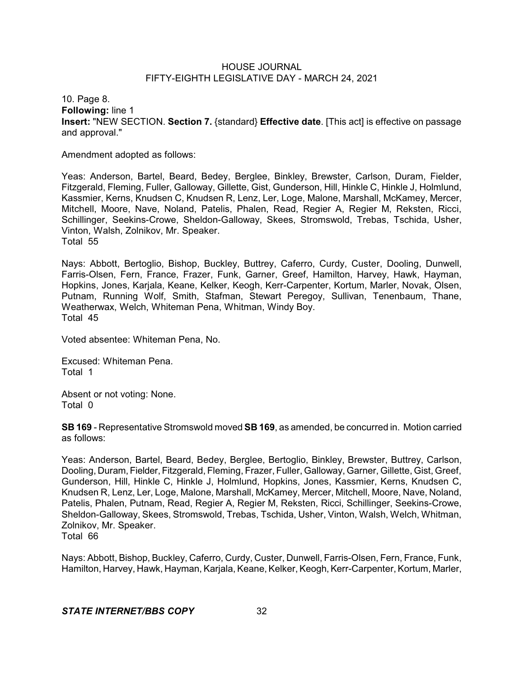10. Page 8. **Following:** line 1 **Insert:** "NEW SECTION. **Section 7.** {standard} **Effective date**. [This act] is effective on passage and approval."

Amendment adopted as follows:

Yeas: Anderson, Bartel, Beard, Bedey, Berglee, Binkley, Brewster, Carlson, Duram, Fielder, Fitzgerald, Fleming, Fuller, Galloway, Gillette, Gist, Gunderson, Hill, Hinkle C, Hinkle J, Holmlund, Kassmier, Kerns, Knudsen C, Knudsen R, Lenz, Ler, Loge, Malone, Marshall, McKamey, Mercer, Mitchell, Moore, Nave, Noland, Patelis, Phalen, Read, Regier A, Regier M, Reksten, Ricci, Schillinger, Seekins-Crowe, Sheldon-Galloway, Skees, Stromswold, Trebas, Tschida, Usher, Vinton, Walsh, Zolnikov, Mr. Speaker. Total 55

Nays: Abbott, Bertoglio, Bishop, Buckley, Buttrey, Caferro, Curdy, Custer, Dooling, Dunwell, Farris-Olsen, Fern, France, Frazer, Funk, Garner, Greef, Hamilton, Harvey, Hawk, Hayman, Hopkins, Jones, Karjala, Keane, Kelker, Keogh, Kerr-Carpenter, Kortum, Marler, Novak, Olsen, Putnam, Running Wolf, Smith, Stafman, Stewart Peregoy, Sullivan, Tenenbaum, Thane, Weatherwax, Welch, Whiteman Pena, Whitman, Windy Boy. Total 45

Voted absentee: Whiteman Pena, No.

Excused: Whiteman Pena. Total 1

Absent or not voting: None. Total 0

**SB 169** - Representative Stromswold moved **SB 169**, as amended, be concurred in. Motion carried as follows:

Yeas: Anderson, Bartel, Beard, Bedey, Berglee, Bertoglio, Binkley, Brewster, Buttrey, Carlson, Dooling, Duram, Fielder, Fitzgerald, Fleming, Frazer, Fuller, Galloway, Garner, Gillette, Gist, Greef, Gunderson, Hill, Hinkle C, Hinkle J, Holmlund, Hopkins, Jones, Kassmier, Kerns, Knudsen C, Knudsen R, Lenz, Ler, Loge, Malone, Marshall, McKamey, Mercer, Mitchell, Moore, Nave, Noland, Patelis, Phalen, Putnam, Read, Regier A, Regier M, Reksten, Ricci, Schillinger, Seekins-Crowe, Sheldon-Galloway, Skees, Stromswold, Trebas, Tschida, Usher, Vinton, Walsh, Welch, Whitman, Zolnikov, Mr. Speaker. Total 66

Nays: Abbott, Bishop, Buckley, Caferro, Curdy, Custer, Dunwell, Farris-Olsen, Fern, France, Funk, Hamilton, Harvey, Hawk, Hayman, Karjala, Keane, Kelker, Keogh,Kerr-Carpenter, Kortum, Marler,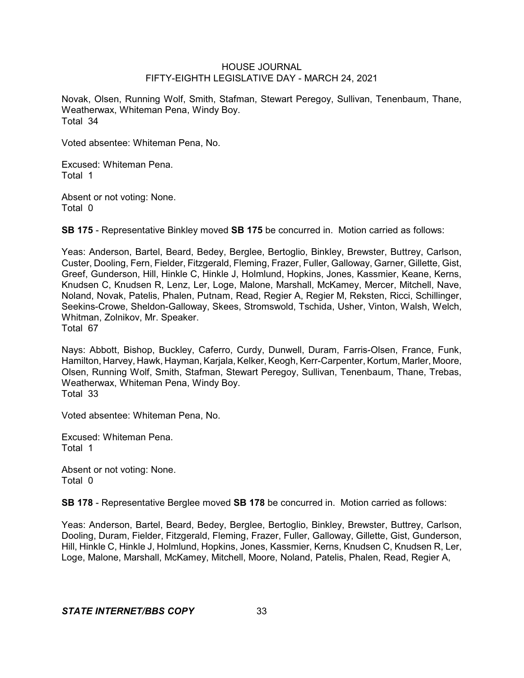Novak, Olsen, Running Wolf, Smith, Stafman, Stewart Peregoy, Sullivan, Tenenbaum, Thane, Weatherwax, Whiteman Pena, Windy Boy. Total 34

Voted absentee: Whiteman Pena, No.

Excused: Whiteman Pena. Total 1

Absent or not voting: None. Total 0

**SB 175** - Representative Binkley moved **SB 175** be concurred in. Motion carried as follows:

Yeas: Anderson, Bartel, Beard, Bedey, Berglee, Bertoglio, Binkley, Brewster, Buttrey, Carlson, Custer, Dooling, Fern, Fielder, Fitzgerald, Fleming, Frazer, Fuller, Galloway, Garner, Gillette, Gist, Greef, Gunderson, Hill, Hinkle C, Hinkle J, Holmlund, Hopkins, Jones, Kassmier, Keane, Kerns, Knudsen C, Knudsen R, Lenz, Ler, Loge, Malone, Marshall, McKamey, Mercer, Mitchell, Nave, Noland, Novak, Patelis, Phalen, Putnam, Read, Regier A, Regier M, Reksten, Ricci, Schillinger, Seekins-Crowe, Sheldon-Galloway, Skees, Stromswold, Tschida, Usher, Vinton, Walsh, Welch, Whitman, Zolnikov, Mr. Speaker. Total 67

Nays: Abbott, Bishop, Buckley, Caferro, Curdy, Dunwell, Duram, Farris-Olsen, France, Funk, Hamilton, Harvey, Hawk, Hayman, Karjala, Kelker, Keogh, Kerr-Carpenter, Kortum, Marler, Moore, Olsen, Running Wolf, Smith, Stafman, Stewart Peregoy, Sullivan, Tenenbaum, Thane, Trebas, Weatherwax, Whiteman Pena, Windy Boy. Total 33

Voted absentee: Whiteman Pena, No.

Excused: Whiteman Pena. Total 1

Absent or not voting: None. Total 0

**SB 178** - Representative Berglee moved **SB 178** be concurred in. Motion carried as follows:

Yeas: Anderson, Bartel, Beard, Bedey, Berglee, Bertoglio, Binkley, Brewster, Buttrey, Carlson, Dooling, Duram, Fielder, Fitzgerald, Fleming, Frazer, Fuller, Galloway, Gillette, Gist, Gunderson, Hill, Hinkle C, Hinkle J, Holmlund, Hopkins, Jones, Kassmier, Kerns, Knudsen C, Knudsen R, Ler, Loge, Malone, Marshall, McKamey, Mitchell, Moore, Noland, Patelis, Phalen, Read, Regier A,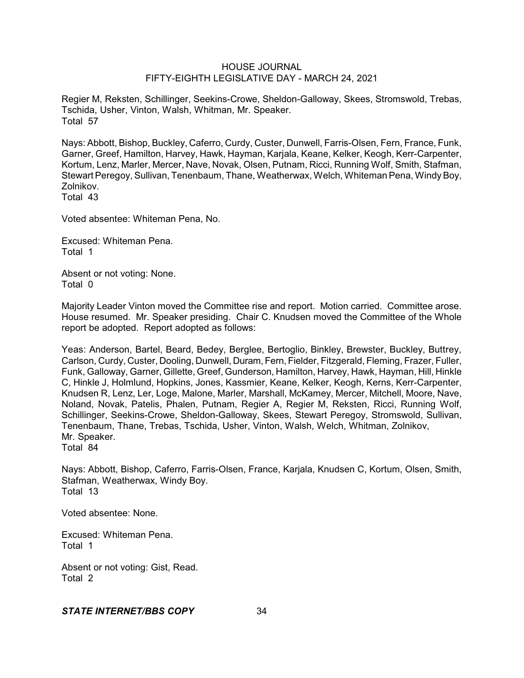Regier M, Reksten, Schillinger, Seekins-Crowe, Sheldon-Galloway, Skees, Stromswold, Trebas, Tschida, Usher, Vinton, Walsh, Whitman, Mr. Speaker. Total 57

Nays: Abbott, Bishop, Buckley, Caferro, Curdy, Custer, Dunwell, Farris-Olsen, Fern, France, Funk, Garner, Greef, Hamilton, Harvey, Hawk, Hayman, Karjala, Keane, Kelker, Keogh, Kerr-Carpenter, Kortum, Lenz, Marler, Mercer, Nave, Novak, Olsen, Putnam, Ricci, Running Wolf, Smith, Stafman, Stewart Peregoy, Sullivan, Tenenbaum, Thane, Weatherwax, Welch, Whiteman Pena, Windy Boy, Zolnikov.

Total 43

Voted absentee: Whiteman Pena, No.

Excused: Whiteman Pena. Total 1

Absent or not voting: None. Total 0

Majority Leader Vinton moved the Committee rise and report. Motion carried. Committee arose. House resumed. Mr. Speaker presiding. Chair C. Knudsen moved the Committee of the Whole report be adopted. Report adopted as follows:

Yeas: Anderson, Bartel, Beard, Bedey, Berglee, Bertoglio, Binkley, Brewster, Buckley, Buttrey, Carlson, Curdy, Custer, Dooling, Dunwell, Duram, Fern, Fielder, Fitzgerald, Fleming, Frazer, Fuller, Funk, Galloway, Garner, Gillette, Greef, Gunderson, Hamilton, Harvey, Hawk, Hayman, Hill, Hinkle C, Hinkle J, Holmlund, Hopkins, Jones, Kassmier, Keane, Kelker, Keogh, Kerns, Kerr-Carpenter, Knudsen R, Lenz, Ler, Loge, Malone, Marler, Marshall, McKamey, Mercer, Mitchell, Moore, Nave, Noland, Novak, Patelis, Phalen, Putnam, Regier A, Regier M, Reksten, Ricci, Running Wolf, Schillinger, Seekins-Crowe, Sheldon-Galloway, Skees, Stewart Peregoy, Stromswold, Sullivan, Tenenbaum, Thane, Trebas, Tschida, Usher, Vinton, Walsh, Welch, Whitman, Zolnikov, Mr. Speaker. Total 84

Nays: Abbott, Bishop, Caferro, Farris-Olsen, France, Karjala, Knudsen C, Kortum, Olsen, Smith, Stafman, Weatherwax, Windy Boy. Total 13

Voted absentee: None.

Excused: Whiteman Pena. Total 1

Absent or not voting: Gist, Read. Total 2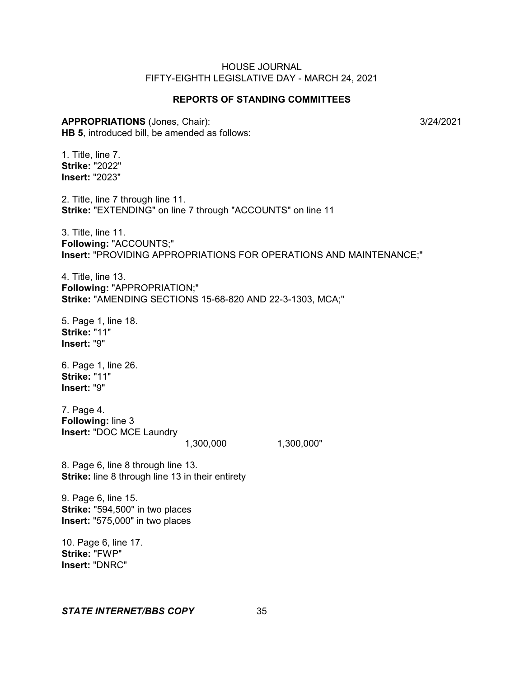## **REPORTS OF STANDING COMMITTEES**

#### **APPROPRIATIONS** (Jones, Chair): 3/24/2021

**HB 5**, introduced bill, be amended as follows:

1. Title, line 7. **Strike:** "2022" **Insert:** "2023"

2. Title, line 7 through line 11. **Strike:** "EXTENDING" on line 7 through "ACCOUNTS" on line 11

3. Title, line 11. **Following:** "ACCOUNTS;" **Insert:** "PROVIDING APPROPRIATIONS FOR OPERATIONS AND MAINTENANCE;"

4. Title, line 13. **Following:** "APPROPRIATION;" **Strike:** "AMENDING SECTIONS 15-68-820 AND 22-3-1303, MCA;"

5. Page 1, line 18. **Strike:** "11" **Insert:** "9"

6. Page 1, line 26. **Strike:** "11" **Insert:** "9"

7. Page 4. **Following:** line 3 **Insert:** "DOC MCE Laundry

1,300,000 1,300,000"

8. Page 6, line 8 through line 13. **Strike:** line 8 through line 13 in their entirety

9. Page 6, line 15. **Strike:** "594,500" in two places **Insert:** "575,000" in two places

10. Page 6, line 17. **Strike:** "FWP" **Insert:** "DNRC"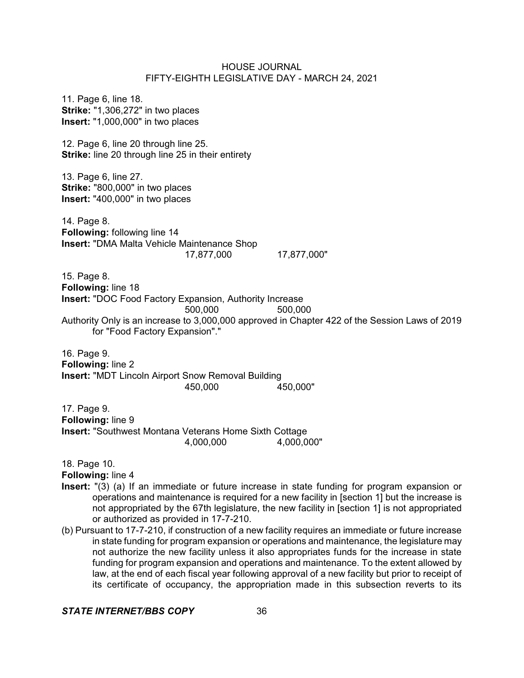11. Page 6, line 18. **Strike:** "1,306,272" in two places **Insert:** "1,000,000" in two places 12. Page 6, line 20 through line 25. **Strike:** line 20 through line 25 in their entirety 13. Page 6, line 27. **Strike:** "800,000" in two places **Insert:** "400,000" in two places 14. Page 8. **Following:** following line 14 **Insert:** "DMA Malta Vehicle Maintenance Shop 17,877,000 17,877,000" 15. Page 8. **Following:** line 18 **Insert:** "DOC Food Factory Expansion, Authority Increase 500,000 500,000 Authority Only is an increase to 3,000,000 approved in Chapter 422 of the Session Laws of 2019 for "Food Factory Expansion"." 16. Page 9. **Following:** line 2 **Insert:** "MDT Lincoln Airport Snow Removal Building 450,000 450,000" 17. Page 9. **Following:** line 9 **Insert:** "Southwest Montana Veterans Home Sixth Cottage 4,000,000 4,000,000"

18. Page 10.

**Following:** line 4

- **Insert:** "(3) (a) If an immediate or future increase in state funding for program expansion or operations and maintenance is required for a new facility in [section 1] but the increase is not appropriated by the 67th legislature, the new facility in [section 1] is not appropriated or authorized as provided in 17-7-210.
- (b) Pursuant to 17-7-210, if construction of a new facility requires an immediate or future increase in state funding for program expansion or operations and maintenance, the legislature may not authorize the new facility unless it also appropriates funds for the increase in state funding for program expansion and operations and maintenance. To the extent allowed by law, at the end of each fiscal year following approval of a new facility but prior to receipt of its certificate of occupancy, the appropriation made in this subsection reverts to its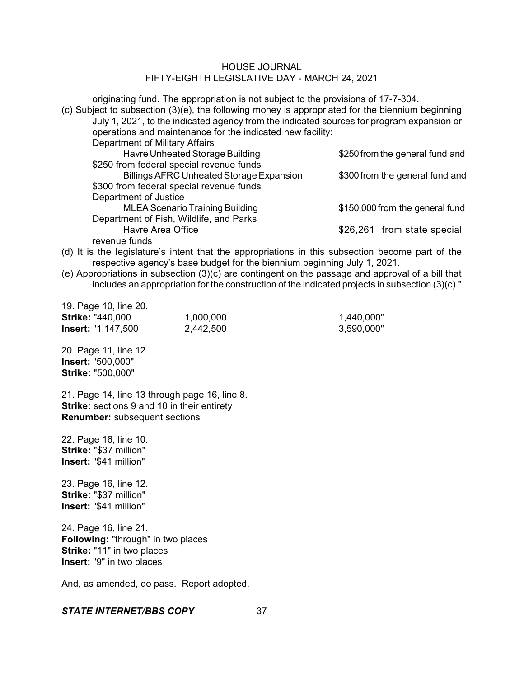originating fund. The appropriation is not subject to the provisions of 17-7-304. (c) Subject to subsection (3)(e), the following money is appropriated for the biennium beginning July 1, 2021, to the indicated agency from the indicated sources for program expansion or

| operations and maintenance for the indicated new facility: |                                 |
|------------------------------------------------------------|---------------------------------|
| Department of Military Affairs                             |                                 |
| Havre Unheated Storage Building                            | \$250 from the general fund and |
| \$250 from federal special revenue funds                   |                                 |
| <b>Billings AFRC Unheated Storage Expansion</b>            | \$300 from the general fund and |
| \$300 from federal special revenue funds                   |                                 |
| Department of Justice                                      |                                 |
| <b>MLEA Scenario Training Building</b>                     | \$150,000 from the general fund |
| Department of Fish, Wildlife, and Parks                    |                                 |
| Havre Area Office                                          | \$26,261 from state special     |
| revenue funds                                              |                                 |
|                                                            |                                 |

(d) It is the legislature's intent that the appropriations in this subsection become part of the respective agency's base budget for the biennium beginning July 1, 2021.

(e) Appropriations in subsection (3)(c) are contingent on the passage and approval of a bill that includes an appropriation for the construction of the indicated projects in subsection (3)(c)."

| 19. Page 10, line 20.     |           |            |
|---------------------------|-----------|------------|
| <b>Strike: "440,000</b>   | 1,000,000 | 1,440,000" |
| <b>Insert: "1,147,500</b> | 2,442,500 | 3,590,000" |

20. Page 11, line 12. **Insert:** "500,000" **Strike:** "500,000"

21. Page 14, line 13 through page 16, line 8. **Strike:** sections 9 and 10 in their entirety **Renumber:** subsequent sections

22. Page 16, line 10. **Strike:** "\$37 million" **Insert:** "\$41 million"

23. Page 16, line 12. **Strike:** "\$37 million" **Insert:** "\$41 million"

24. Page 16, line 21. **Following:** "through" in two places **Strike:** "11" in two places **Insert:** "9" in two places

And, as amended, do pass. Report adopted.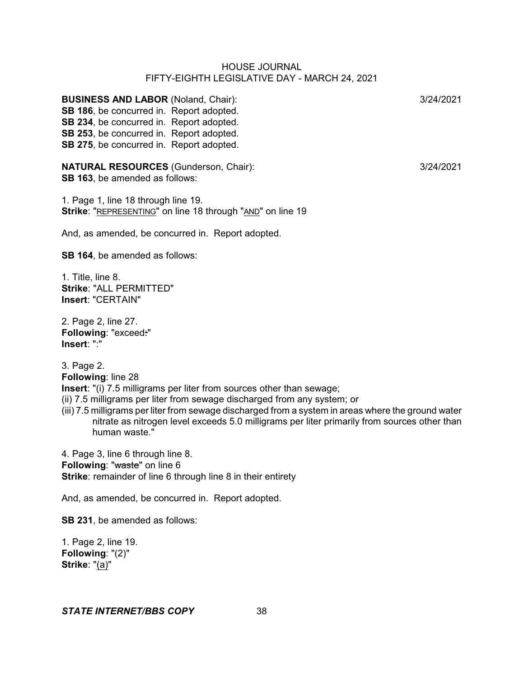**BUSINESS AND LABOR** (Noland, Chair): 3/24/2021 **SB 186**, be concurred in. Report adopted. **SB 234**, be concurred in. Report adopted. **SB 253**, be concurred in. Report adopted. **SB 275**, be concurred in. Report adopted.

**NATURAL RESOURCES** (Gunderson, Chair): 3/24/2021 **SB 163**, be amended as follows:

1. Page 1, line 18 through line 19. **Strike**: "REPRESENTING" on line 18 through "AND" on line 19

And, as amended, be concurred in. Report adopted.

**SB 164**, be amended as follows:

1. Title, line 8. **Strike**: "ALL PERMITTED" **Insert**: "CERTAIN"

2. Page 2, line 27. **Following**: "exceed:" **Insert**: ":"

3. Page 2. **Following**: line 28 **Insert**: "(i) 7.5 milligrams per liter from sources other than sewage; (ii) 7.5 milligrams per liter from sewage discharged from any system; or (iii) 7.5 milligrams per liter from sewage discharged from a system in areas where the ground water

nitrate as nitrogen level exceeds 5.0 milligrams per liter primarily from sources other than human waste."

4. Page 3, line 6 through line 8. **Following: "waste" on line 6 Strike**: remainder of line 6 through line 8 in their entirety

And, as amended, be concurred in. Report adopted.

**SB 231**, be amended as follows:

1. Page 2, line 19. **Following**: "(2)" **Strike**: "(a)"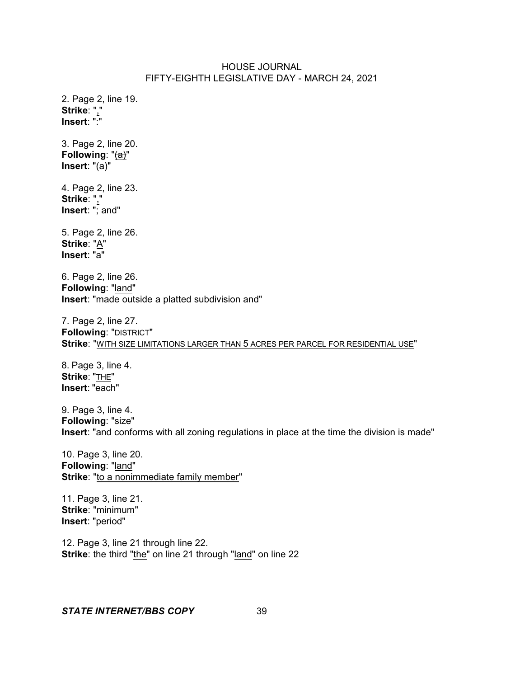2. Page 2, line 19. **Strike**: "," **Insert**: ":" 3. Page 2, line 20. **Following**: "(a)" **Insert**: "(a)" 4. Page 2, line 23. **Strike**: "," **Insert**: "; and" 5. Page 2, line 26. **Strike**: "A" **Insert**: "a" 6. Page 2, line 26. **Following**: "land" **Insert**: "made outside a platted subdivision and" 7. Page 2, line 27. **Following**: "DISTRICT" **Strike**: "WITH SIZE LIMITATIONS LARGER THAN 5 ACRES PER PARCEL FOR RESIDENTIAL USE" 8. Page 3, line 4. **Strike**: "THE" **Insert**: "each" 9. Page 3, line 4. **Following**: "size" **Insert**: "and conforms with all zoning regulations in place at the time the division is made" 10. Page 3, line 20. **Following**: "land" Strike: "to a nonimmediate family member" 11. Page 3, line 21. **Strike**: "minimum" **Insert**: "period" 12. Page 3, line 21 through line 22.

**Strike**: the third "the" on line 21 through "land" on line 22